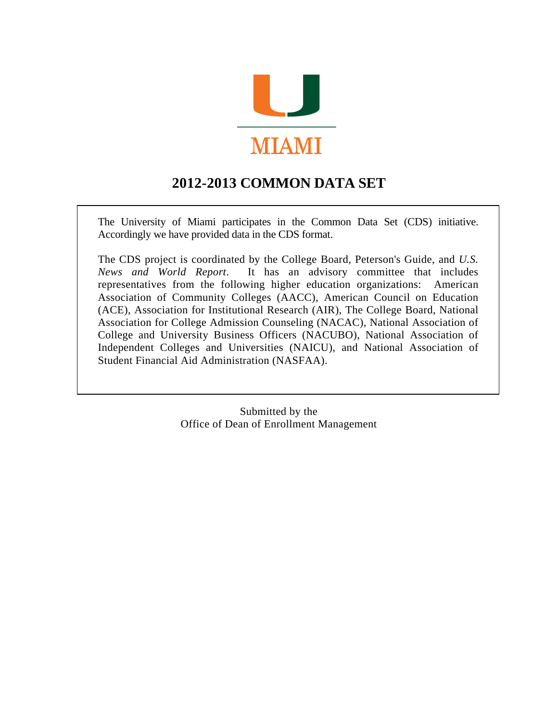

# **2012-2013 COMMON DATA SET**

The University of Miami participates in the Common Data Set (CDS) initiative. Accordingly we have provided data in the CDS format.

The CDS project is coordinated by the College Board, Peterson's Guide, and *U.S. News and World Report*. It has an advisory committee that includes representatives from the following higher education organizations: American Association of Community Colleges (AACC), American Council on Education (ACE), Association for Institutional Research (AIR), The College Board, National Association for College Admission Counseling (NACAC), National Association of College and University Business Officers (NACUBO), National Association of Independent Colleges and Universities (NAICU), and National Association of Student Financial Aid Administration (NASFAA).

> Submitted by the Office of Dean of Enrollment Management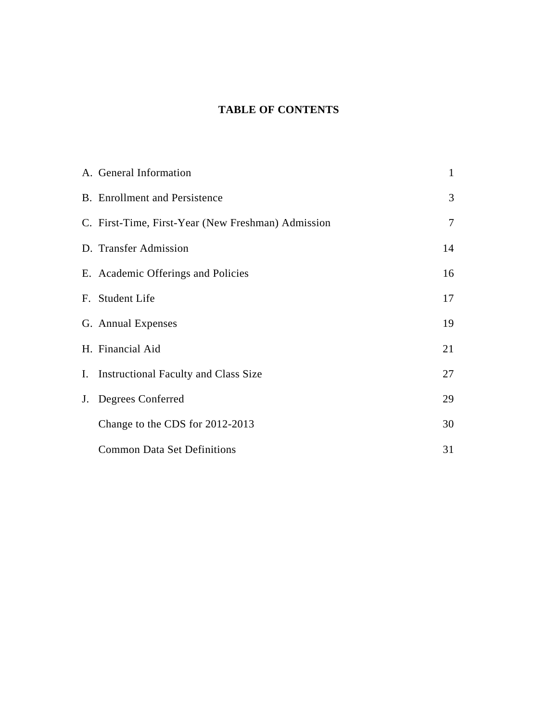# **TABLE OF CONTENTS**

| A. General Information                             | 1      |
|----------------------------------------------------|--------|
| <b>B.</b> Enrollment and Persistence               | 3      |
| C. First-Time, First-Year (New Freshman) Admission | $\tau$ |
| D. Transfer Admission                              | 14     |
| E. Academic Offerings and Policies                 | 16     |
| F. Student Life                                    | 17     |
| G. Annual Expenses                                 | 19     |
| H. Financial Aid                                   | 21     |
| I. Instructional Faculty and Class Size            | 27     |
| J. Degrees Conferred                               | 29     |
| Change to the CDS for 2012-2013                    | 30     |
| <b>Common Data Set Definitions</b>                 | 31     |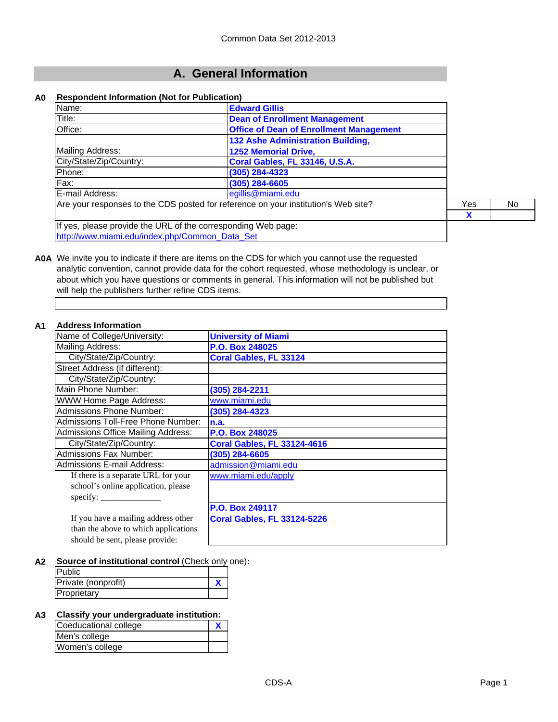# **A. General Information**

#### **A0 Respondent Information (Not for Publication)**

| Name:                                                                              | <b>Edward Gillis</b>                           |  |     |
|------------------------------------------------------------------------------------|------------------------------------------------|--|-----|
| Title:                                                                             | <b>Dean of Enrollment Management</b>           |  |     |
| Office:                                                                            | <b>Office of Dean of Enrollment Management</b> |  |     |
|                                                                                    | 132 Ashe Administration Building,              |  |     |
| Mailing Address:                                                                   | <b>1252 Memorial Drive,</b>                    |  |     |
| City/State/Zip/Country:                                                            | Coral Gables, FL 33146, U.S.A.                 |  |     |
| Phone:                                                                             | (305) 284-4323                                 |  |     |
| Fax:                                                                               | $(305)$ 284-6605                               |  |     |
| E-mail Address:                                                                    | egillis@miami.edu                              |  |     |
| Are your responses to the CDS posted for reference on your institution's Web site? |                                                |  | No. |
|                                                                                    |                                                |  |     |
| If yes, please provide the URL of the corresponding Web page:                      |                                                |  |     |
| http://www.miami.edu/index.php/Common_Data_Set                                     |                                                |  |     |

**A0A** We invite you to indicate if there are items on the CDS for which you cannot use the requested analytic convention, cannot provide data for the cohort requested, whose methodology is unclear, or about which you have questions or comments in general. This information will not be published but will help the publishers further refine CDS items.

#### **A1 Address Information**

| Name of College/University:               | <b>University of Miami</b>         |
|-------------------------------------------|------------------------------------|
| Mailing Address:                          | P.O. Box 248025                    |
| City/State/Zip/Country:                   | <b>Coral Gables, FL 33124</b>      |
| Street Address (if different):            |                                    |
| City/State/Zip/Country:                   |                                    |
| Main Phone Number:                        | (305) 284-2211                     |
| <b>WWW Home Page Address:</b>             | www.miami.edu                      |
| <b>Admissions Phone Number:</b>           | (305) 284-4323                     |
| Admissions Toll-Free Phone Number:        | n.a.                               |
| <b>Admissions Office Mailing Address:</b> | P.O. Box 248025                    |
| City/State/Zip/Country:                   | <b>Coral Gables, FL 33124-4616</b> |
| <b>Admissions Fax Number:</b>             | (305) 284-6605                     |
| <b>Admissions E-mail Address:</b>         | admission@miami.edu                |
| If there is a separate URL for your       | www.miami.edu/apply                |
| school's online application, please       |                                    |
| specify:                                  |                                    |
|                                           | P.O. Box 249117                    |
| If you have a mailing address other       | <b>Coral Gables, FL 33124-5226</b> |
| than the above to which applications      |                                    |
| should be sent, please provide:           |                                    |

**A2 Source of institutional control** (Check only one)**:**

#### **A3 Classify your undergraduate institution:**

| Coeducational college |  |
|-----------------------|--|
| Men's college         |  |
| Women's college       |  |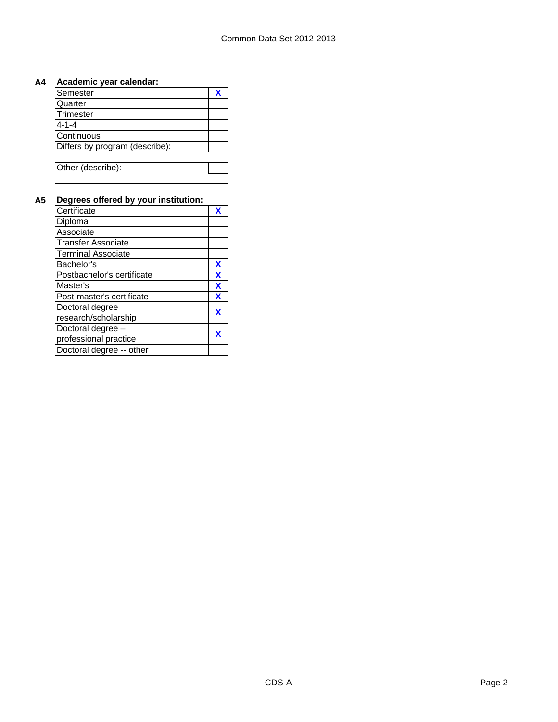### **A4 Academic year calendar:**

| Semester                       | ₩ |
|--------------------------------|---|
| Quarter                        |   |
| Trimester                      |   |
| 4-1-4                          |   |
| Continuous                     |   |
| Differs by program (describe): |   |
|                                |   |
| Other (describe):              |   |
|                                |   |

#### **A5 Degrees offered by your institution:**

| Certificate                |   |
|----------------------------|---|
| Diploma                    |   |
| Associate                  |   |
| <b>Transfer Associate</b>  |   |
| <b>Terminal Associate</b>  |   |
| Bachelor's                 | x |
| Postbachelor's certificate | X |
| Master's                   | X |
| Post-master's certificate  | X |
| Doctoral degree            |   |
| research/scholarship       |   |
| Doctoral degree -          |   |
| professional practice      |   |
| Doctoral degree -- other   |   |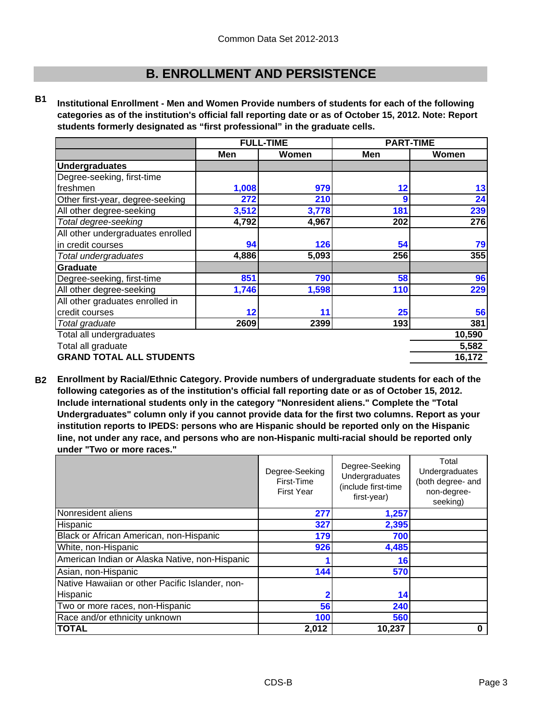# **B. ENROLLMENT AND PERSISTENCE**

**B1 Institutional Enrollment - Men and Women Provide numbers of students for each of the following categories as of the institution's official fall reporting date or as of October 15, 2012. Note: Report students formerly designated as "first professional" in the graduate cells.**

|                                   | <b>FULL-TIME</b> |       | <b>PART-TIME</b> |        |
|-----------------------------------|------------------|-------|------------------|--------|
|                                   | Men              | Women | Men              | Women  |
| <b>Undergraduates</b>             |                  |       |                  |        |
| Degree-seeking, first-time        |                  |       |                  |        |
| freshmen                          | 1,008            | 979   | 12               | 13     |
| Other first-year, degree-seeking  | 272              | 210   | 9                | 24     |
| All other degree-seeking          | 3,512            | 3,778 | 181              | 239    |
| Total degree-seeking              | 4,792            | 4,967 | 202              | 276    |
| All other undergraduates enrolled |                  |       |                  |        |
| in credit courses                 | 94               | 126   | 54               | 79     |
| Total undergraduates              | 4,886            | 5,093 | 256              | 355    |
| Graduate                          |                  |       |                  |        |
| Degree-seeking, first-time        | 851              | 790   | 58               | 96     |
| All other degree-seeking          | 1,746            | 1,598 | 110              | 229    |
| All other graduates enrolled in   |                  |       |                  |        |
| credit courses                    | 12               | 11    | 25               | 56     |
| Total graduate                    | 2609             | 2399  | 193              | 381    |
| Total all undergraduates          |                  |       |                  | 10,590 |
| Total all graduate                |                  |       |                  | 5,582  |
| <b>GRAND TOTAL ALL STUDENTS</b>   |                  |       |                  | 16,172 |

**B2 Enrollment by Racial/Ethnic Category. Provide numbers of undergraduate students for each of the following categories as of the institution's official fall reporting date or as of October 15, 2012. Include international students only in the category "Nonresident aliens." Complete the "Total Undergraduates" column only if you cannot provide data for the first two columns. Report as your institution reports to IPEDS: persons who are Hispanic should be reported only on the Hispanic line, not under any race, and persons who are non-Hispanic multi-racial should be reported only under "Two or more races."** 

|                                                 | Degree-Seeking<br>First-Time<br><b>First Year</b> | Degree-Seeking<br>Undergraduates<br>(include first-time<br>first-year) | Total<br>Undergraduates<br>(both degree- and<br>non-degree-<br>seeking) |
|-------------------------------------------------|---------------------------------------------------|------------------------------------------------------------------------|-------------------------------------------------------------------------|
| Nonresident aliens                              | 277                                               | 1,257                                                                  |                                                                         |
| Hispanic                                        | 327                                               | 2,395                                                                  |                                                                         |
| Black or African American, non-Hispanic         | 179                                               | 700                                                                    |                                                                         |
| White, non-Hispanic                             | 926                                               | 4,485                                                                  |                                                                         |
| American Indian or Alaska Native, non-Hispanic  |                                                   | 16                                                                     |                                                                         |
| Asian, non-Hispanic                             | 144                                               | 570                                                                    |                                                                         |
| Native Hawaiian or other Pacific Islander, non- |                                                   |                                                                        |                                                                         |
| Hispanic                                        |                                                   | 14                                                                     |                                                                         |
| Two or more races, non-Hispanic                 | 56                                                | 240                                                                    |                                                                         |
| Race and/or ethnicity unknown                   | 100                                               | 560                                                                    |                                                                         |
| <b>TOTAL</b>                                    | 2,012                                             | 10,237                                                                 |                                                                         |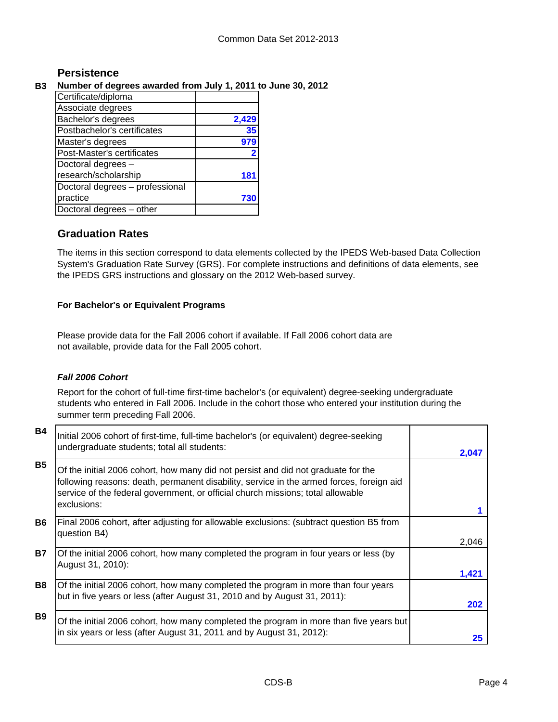# **Persistence**

# **B3 Number of degrees awarded from July 1, 2011 to June 30, 2012**

| Certificate/diploma             |       |
|---------------------------------|-------|
| Associate degrees               |       |
| Bachelor's degrees              | 2,429 |
| Postbachelor's certificates     | 35    |
| Master's degrees                | 979   |
| Post-Master's certificates      |       |
| Doctoral degrees -              |       |
| research/scholarship            | 18    |
| Doctoral degrees - professional |       |
| practice                        | 73    |
| Doctoral degrees - other        |       |

# **Graduation Rates**

The items in this section correspond to data elements collected by the IPEDS Web-based Data Collection System's Graduation Rate Survey (GRS). For complete instructions and definitions of data elements, see the IPEDS GRS instructions and glossary on the 2012 Web-based survey.

# **For Bachelor's or Equivalent Programs**

Please provide data for the Fall 2006 cohort if available. If Fall 2006 cohort data are not available, provide data for the Fall 2005 cohort.

# *Fall 2006 Cohort*

Report for the cohort of full-time first-time bachelor's (or equivalent) degree-seeking undergraduate students who entered in Fall 2006. Include in the cohort those who entered your institution during the summer term preceding Fall 2006.

| <b>B4</b> | Initial 2006 cohort of first-time, full-time bachelor's (or equivalent) degree-seeking<br>undergraduate students; total all students:                                                                                                                                           | 2.047 |
|-----------|---------------------------------------------------------------------------------------------------------------------------------------------------------------------------------------------------------------------------------------------------------------------------------|-------|
| <b>B5</b> | Of the initial 2006 cohort, how many did not persist and did not graduate for the<br>following reasons: death, permanent disability, service in the armed forces, foreign aid<br>service of the federal government, or official church missions; total allowable<br>exclusions: |       |
| <b>B6</b> | Final 2006 cohort, after adjusting for allowable exclusions: (subtract question B5 from<br>question B4)                                                                                                                                                                         | 2,046 |
| <b>B7</b> | Of the initial 2006 cohort, how many completed the program in four years or less (by<br>August 31, 2010):                                                                                                                                                                       | 1,421 |
| <b>B8</b> | Of the initial 2006 cohort, how many completed the program in more than four years<br>but in five years or less (after August 31, 2010 and by August 31, 2011):                                                                                                                 | 202   |
| <b>B9</b> | Of the initial 2006 cohort, how many completed the program in more than five years but<br>in six years or less (after August 31, 2011 and by August 31, 2012):                                                                                                                  | 25    |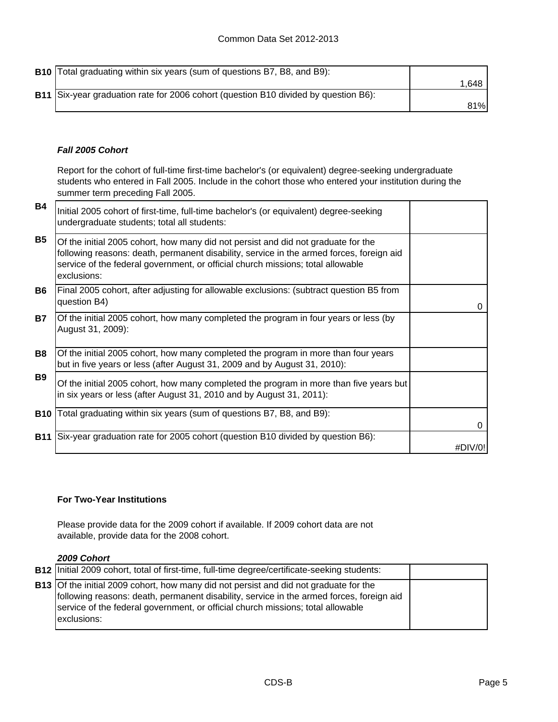**B10** Total graduating within six years (sum of questions B7, B8, and B9): 1,648 **B11** 81% Six-year graduation rate for 2006 cohort (question B10 divided by question B6):

# *Fall 2005 Cohort*

Report for the cohort of full-time first-time bachelor's (or equivalent) degree-seeking undergraduate students who entered in Fall 2005. Include in the cohort those who entered your institution during the summer term preceding Fall 2005.

| <b>B4</b>  | Initial 2005 cohort of first-time, full-time bachelor's (or equivalent) degree-seeking<br>undergraduate students; total all students:                                                                                                                                           |         |
|------------|---------------------------------------------------------------------------------------------------------------------------------------------------------------------------------------------------------------------------------------------------------------------------------|---------|
| <b>B5</b>  | Of the initial 2005 cohort, how many did not persist and did not graduate for the<br>following reasons: death, permanent disability, service in the armed forces, foreign aid<br>service of the federal government, or official church missions; total allowable<br>exclusions: |         |
| <b>B6</b>  | Final 2005 cohort, after adjusting for allowable exclusions: (subtract question B5 from<br>question B4)                                                                                                                                                                         | 0       |
| <b>B7</b>  | Of the initial 2005 cohort, how many completed the program in four years or less (by<br>August 31, 2009):                                                                                                                                                                       |         |
| <b>B8</b>  | Of the initial 2005 cohort, how many completed the program in more than four years<br>but in five years or less (after August 31, 2009 and by August 31, 2010):                                                                                                                 |         |
| <b>B9</b>  | Of the initial 2005 cohort, how many completed the program in more than five years but<br>in six years or less (after August 31, 2010 and by August 31, 2011):                                                                                                                  |         |
| <b>B10</b> | Total graduating within six years (sum of questions B7, B8, and B9):                                                                                                                                                                                                            | 0       |
| <b>B11</b> | Six-year graduation rate for 2005 cohort (question B10 divided by question B6):                                                                                                                                                                                                 | #DIV/0! |

### **For Two-Year Institutions**

Please provide data for the 2009 cohort if available. If 2009 cohort data are not available, provide data for the 2008 cohort.

### *2009 Cohort*

| <b>B12</b> Initial 2009 cohort, total of first-time, full-time degree/certificate-seeking students:                                                                                                                                                                                        |  |
|--------------------------------------------------------------------------------------------------------------------------------------------------------------------------------------------------------------------------------------------------------------------------------------------|--|
| <b>B13</b> Of the initial 2009 cohort, how many did not persist and did not graduate for the<br>following reasons: death, permanent disability, service in the armed forces, foreign aid<br>service of the federal government, or official church missions; total allowable<br>exclusions: |  |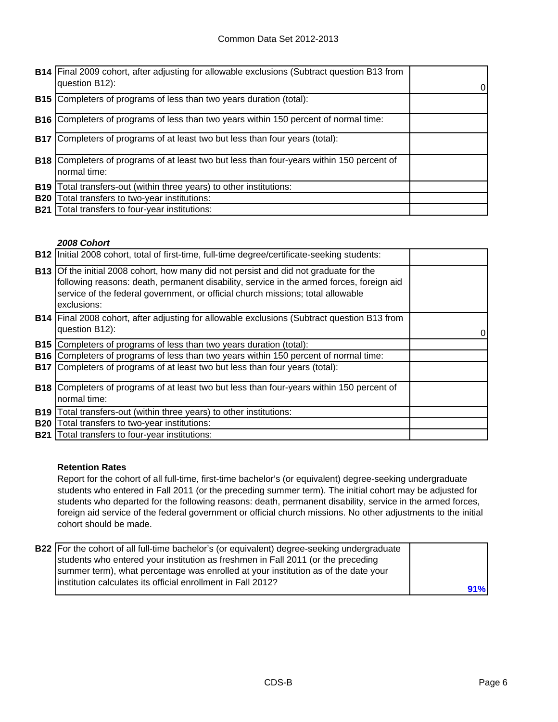|            | <b>B14</b> Final 2009 cohort, after adjusting for allowable exclusions (Subtract question B13 from<br>question B12): | 0 |
|------------|----------------------------------------------------------------------------------------------------------------------|---|
| <b>B15</b> | Completers of programs of less than two years duration (total):                                                      |   |
| <b>B16</b> | Completers of programs of less than two years within 150 percent of normal time:                                     |   |
| <b>B17</b> | Completers of programs of at least two but less than four years (total):                                             |   |
| <b>B18</b> | Completers of programs of at least two but less than four-years within 150 percent of<br>normal time:                |   |
| <b>B19</b> | Total transfers-out (within three years) to other institutions:                                                      |   |
| <b>B20</b> | Total transfers to two-year institutions:                                                                            |   |
| <b>B21</b> | Total transfers to four-year institutions:                                                                           |   |

### *2008 Cohort*

|            | B12   Initial 2008 cohort, total of first-time, full-time degree/certificate-seeking students:                                                                                                                                                                                      |  |
|------------|-------------------------------------------------------------------------------------------------------------------------------------------------------------------------------------------------------------------------------------------------------------------------------------|--|
|            | B13 Of the initial 2008 cohort, how many did not persist and did not graduate for the<br>following reasons: death, permanent disability, service in the armed forces, foreign aid<br>service of the federal government, or official church missions; total allowable<br>exclusions: |  |
|            | <b>B14</b> Final 2008 cohort, after adjusting for allowable exclusions (Subtract question B13 from<br>question B12):                                                                                                                                                                |  |
|            | <b>B15</b> Completers of programs of less than two years duration (total):                                                                                                                                                                                                          |  |
| <b>B16</b> | Completers of programs of less than two years within 150 percent of normal time:                                                                                                                                                                                                    |  |
|            | <b>B17</b> Completers of programs of at least two but less than four years (total):                                                                                                                                                                                                 |  |
|            | <b>B18</b> Completers of programs of at least two but less than four-years within 150 percent of                                                                                                                                                                                    |  |
|            | normal time:                                                                                                                                                                                                                                                                        |  |
| <b>B19</b> | Total transfers-out (within three years) to other institutions:                                                                                                                                                                                                                     |  |
| <b>B20</b> | Total transfers to two-year institutions:                                                                                                                                                                                                                                           |  |
| <b>B21</b> | Total transfers to four-year institutions:                                                                                                                                                                                                                                          |  |

### **Retention Rates**

Report for the cohort of all full-time, first-time bachelor's (or equivalent) degree-seeking undergraduate students who entered in Fall 2011 (or the preceding summer term). The initial cohort may be adjusted for students who departed for the following reasons: death, permanent disability, service in the armed forces, foreign aid service of the federal government or official church missions. No other adjustments to the initial cohort should be made.

| B22 For the cohort of all full-time bachelor's (or equivalent) degree-seeking undergraduate |     |
|---------------------------------------------------------------------------------------------|-----|
|                                                                                             |     |
| students who entered your institution as freshmen in Fall 2011 (or the preceding            |     |
| summer term), what percentage was enrolled at your institution as of the date your          |     |
| linstitution calculates its official enrollment in Fall 2012?                               |     |
|                                                                                             | 91% |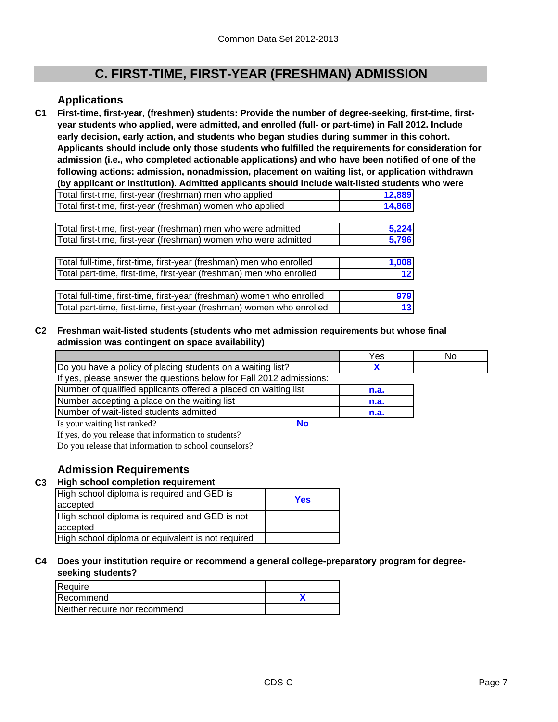# **C. FIRST-TIME, FIRST-YEAR (FRESHMAN) ADMISSION**

# **Applications**

**C1 First-time, first-year, (freshmen) students: Provide the number of degree-seeking, first-time, firstyear students who applied, were admitted, and enrolled (full- or part-time) in Fall 2012. Include early decision, early action, and students who began studies during summer in this cohort. Applicants should include only those students who fulfilled the requirements for consideration for admission (i.e., who completed actionable applications) and who have been notified of one of the following actions: admission, nonadmission, placement on waiting list, or application withdrawn (by applicant or institution). Admitted applicants should include wait-listed students who were** 

| Total first-time, first-year (freshman) men who applied               | 12,889 |
|-----------------------------------------------------------------------|--------|
| Total first-time, first-year (freshman) women who applied             | 14,868 |
|                                                                       |        |
| Total first-time, first-year (freshman) men who were admitted         | 5,224  |
| Total first-time, first-year (freshman) women who were admitted       | 5,796  |
|                                                                       |        |
| Total full-time, first-time, first-year (freshman) men who enrolled   | 1,008  |
| Total part-time, first-time, first-year (freshman) men who enrolled   | 12     |
|                                                                       |        |
| Total full-time, first-time, first-year (freshman) women who enrolled | 979    |
| Total part-time, first-time, first-year (freshman) women who enrolled | 13     |

### **C2 Freshman wait-listed students (students who met admission requirements but whose final admission was contingent on space availability)**

|                                                                     | Yes  | No |
|---------------------------------------------------------------------|------|----|
| Do you have a policy of placing students on a waiting list?         |      |    |
| If yes, please answer the questions below for Fall 2012 admissions: |      |    |
| Number of qualified applicants offered a placed on waiting list     | n.a. |    |
| Number accepting a place on the waiting list                        | n.a. |    |
| Number of wait-listed students admitted                             | n.a. |    |
| Nο<br>Is your waiting list ranked?                                  |      |    |

If yes, do you release that information to students?

Do you release that information to school counselors?

# **Admission Requirements**

## **C3 High school completion requirement**

| High school diploma is required and GED is<br>accepted | Yes |
|--------------------------------------------------------|-----|
| High school diploma is required and GED is not         |     |
| accepted                                               |     |
| High school diploma or equivalent is not required      |     |

#### **C4 Does your institution require or recommend a general college-preparatory program for degreeseeking students?**

| Require                       |  |
|-------------------------------|--|
| Recommend                     |  |
| Neither require nor recommend |  |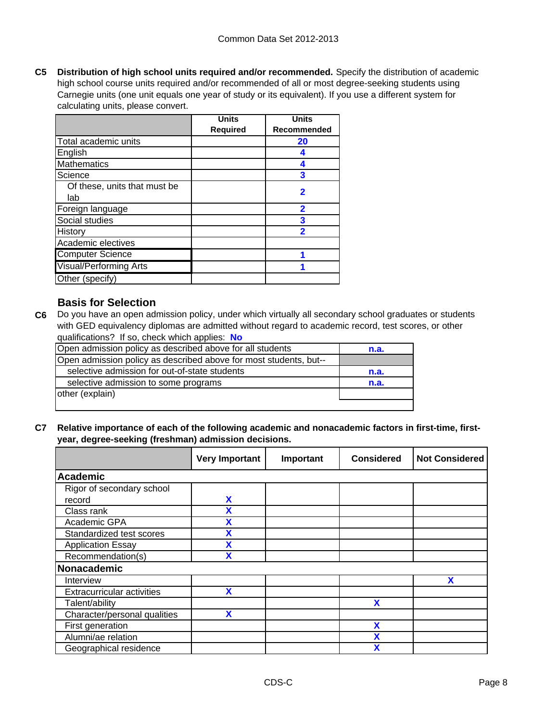**C5 Distribution of high school units required and/or recommended.** Specify the distribution of academic high school course units required and/or recommended of all or most degree-seeking students using Carnegie units (one unit equals one year of study or its equivalent). If you use a different system for calculating units, please convert.

|                               | <b>Units</b>    | <b>Units</b> |
|-------------------------------|-----------------|--------------|
|                               | <b>Required</b> | Recommended  |
| Total academic units          |                 | 20           |
| English                       |                 |              |
| <b>Mathematics</b>            |                 |              |
| Science                       |                 | 3            |
| Of these, units that must be  |                 | 2            |
| lab                           |                 |              |
| Foreign language              |                 | 2            |
| Social studies                |                 | 3            |
| History                       |                 | 2            |
| Academic electives            |                 |              |
| <b>Computer Science</b>       |                 |              |
| <b>Visual/Performing Arts</b> |                 |              |
| Other (specify)               |                 |              |

# **Basis for Selection**

**C6** Do you have an open admission policy, under which virtually all secondary school graduates or students with GED equivalency diplomas are admitted without regard to academic record, test scores, or other qualifications? If so, check which applies: **No**

| Open admission policy as described above for all students         | n.a. |
|-------------------------------------------------------------------|------|
| Open admission policy as described above for most students, but-- |      |
| selective admission for out-of-state students                     | n.a. |
| selective admission to some programs                              | n.a. |
| other (explain)                                                   |      |
|                                                                   |      |

**C7 Relative importance of each of the following academic and nonacademic factors in first-time, firstyear, degree-seeking (freshman) admission decisions.**

|                                   | <b>Very Important</b> | Important | <b>Considered</b> | <b>Not Considered</b> |
|-----------------------------------|-----------------------|-----------|-------------------|-----------------------|
| <b>Academic</b>                   |                       |           |                   |                       |
| Rigor of secondary school         |                       |           |                   |                       |
| record                            | X                     |           |                   |                       |
| Class rank                        | X                     |           |                   |                       |
| Academic GPA                      | X                     |           |                   |                       |
| Standardized test scores          | X                     |           |                   |                       |
| <b>Application Essay</b>          | χ                     |           |                   |                       |
| Recommendation(s)                 | X                     |           |                   |                       |
| <b>Nonacademic</b>                |                       |           |                   |                       |
| Interview                         |                       |           |                   | X                     |
| <b>Extracurricular activities</b> | X                     |           |                   |                       |
| Talent/ability                    |                       |           | X                 |                       |
| Character/personal qualities      | X                     |           |                   |                       |
| First generation                  |                       |           | X                 |                       |
| Alumni/ae relation                |                       |           | X                 |                       |
| Geographical residence            |                       |           | χ                 |                       |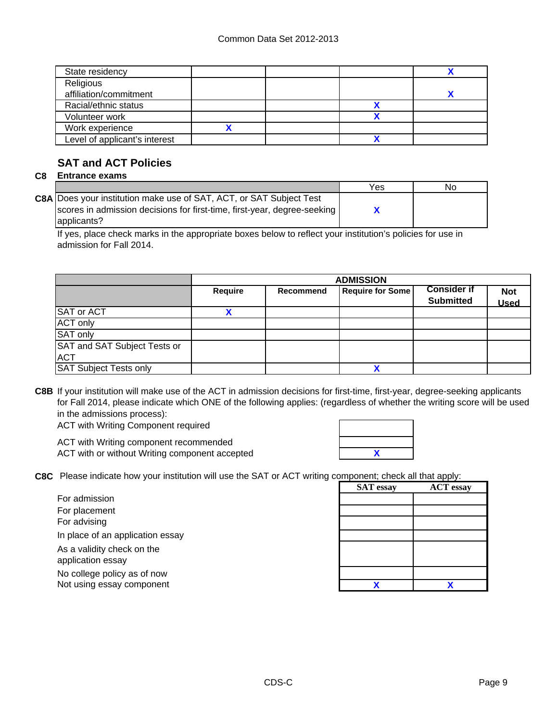| State residency               |  |  |
|-------------------------------|--|--|
| Religious                     |  |  |
| affiliation/commitment        |  |  |
| Racial/ethnic status          |  |  |
| Volunteer work                |  |  |
| Work experience               |  |  |
| Level of applicant's interest |  |  |
|                               |  |  |

# **SAT and ACT Policies**

## **C8 Entrance exams**

|                                                                            | Yes | No |
|----------------------------------------------------------------------------|-----|----|
| <b>C8A Does your institution make use of SAT, ACT, or SAT Subject Test</b> |     |    |
| scores in admission decisions for first-time, first-year, degree-seeking   |     |    |
| applicants?                                                                |     |    |

If yes, place check marks in the appropriate boxes below to reflect your institution's policies for use in admission for Fall 2014.

|                                            | <b>ADMISSION</b> |                  |                         |                                        |                           |
|--------------------------------------------|------------------|------------------|-------------------------|----------------------------------------|---------------------------|
|                                            | <b>Require</b>   | <b>Recommend</b> | <b>Require for Some</b> | <b>Consider if</b><br><b>Submitted</b> | <b>Not</b><br><b>Used</b> |
| <b>SAT or ACT</b>                          |                  |                  |                         |                                        |                           |
| <b>ACT only</b>                            |                  |                  |                         |                                        |                           |
| <b>SAT only</b>                            |                  |                  |                         |                                        |                           |
| SAT and SAT Subject Tests or<br><b>ACT</b> |                  |                  |                         |                                        |                           |
| <b>SAT Subject Tests only</b>              |                  |                  |                         |                                        |                           |

**C8B** If your institution will make use of the ACT in admission decisions for first-time, first-year, degree-seeking applicants for Fall 2014, please indicate which ONE of the following applies: (regardless of whether the writing score will be used in the admissions process):

ACT with Writing Component required

ACT with Writing component recommended ACT with or without Writing component accepted

|  | $\overline{\mathbf{X}}$ |  |
|--|-------------------------|--|

**C8C** Please indicate how your institution will use the SAT or ACT writing component; check all that apply:

For admission For placement For advising In place of an application essay

As a validity check on the application essay

No college policy as of now Not using essay component

| Jiliponeni, check all that apply. |                  |  |  |
|-----------------------------------|------------------|--|--|
| <b>SAT</b> essay                  | <b>ACT</b> essay |  |  |
|                                   |                  |  |  |
|                                   |                  |  |  |
|                                   |                  |  |  |
|                                   |                  |  |  |
|                                   |                  |  |  |
|                                   |                  |  |  |
|                                   |                  |  |  |
|                                   |                  |  |  |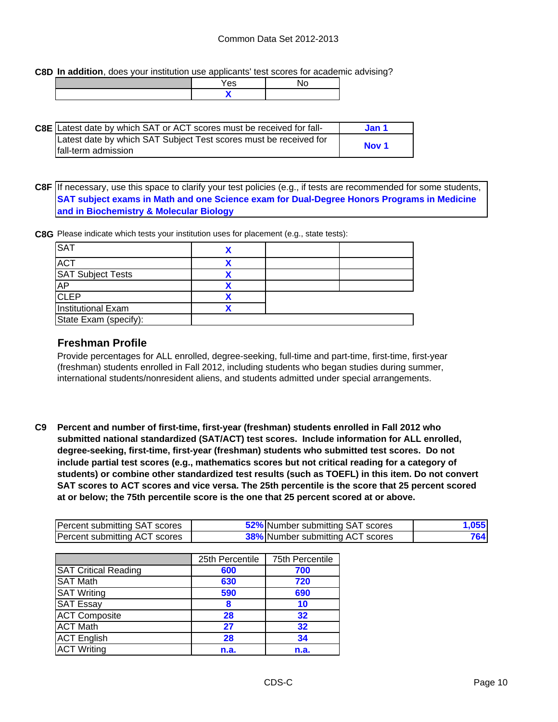**C8D In addition**, does your institution use applicants' test scores for academic advising?

| 'es |  |
|-----|--|
|     |  |

| <b>C8E</b> Latest date by which SAT or ACT scores must be received for fall- | Jan 1            |  |
|------------------------------------------------------------------------------|------------------|--|
| Latest date by which SAT Subject Test scores must be received for            |                  |  |
| Ifall-term admission                                                         | Nov <sub>1</sub> |  |

**C8F** If necessary, use this space to clarify your test policies (e.g., if tests are recommended for some students, **SAT subject exams in Math and one Science exam for Dual-Degree Honors Programs in Medicine and in Biochemistry & Molecular Biology**

**C8G** Please indicate which tests your institution uses for placement (e.g., state tests):

| <b>SAT</b>               |  |  |
|--------------------------|--|--|
| <b>ACT</b>               |  |  |
| <b>SAT Subject Tests</b> |  |  |
| AP                       |  |  |
| <b>CLEP</b>              |  |  |
| Institutional Exam       |  |  |
| State Exam (specify):    |  |  |

# **Freshman Profile**

Provide percentages for ALL enrolled, degree-seeking, full-time and part-time, first-time, first-year (freshman) students enrolled in Fall 2012, including students who began studies during summer, international students/nonresident aliens, and students admitted under special arrangements.

**C9 Percent and number of first-time, first-year (freshman) students enrolled in Fall 2012 who submitted national standardized (SAT/ACT) test scores. Include information for ALL enrolled, degree-seeking, first-time, first-year (freshman) students who submitted test scores. Do not include partial test scores (e.g., mathematics scores but not critical reading for a category of students) or combine other standardized test results (such as TOEFL) in this item. Do not convert SAT scores to ACT scores and vice versa. The 25th percentile is the score that 25 percent scored at or below; the 75th percentile score is the one that 25 percent scored at or above.**

| Percent submitting SAT scores | 52% Number submitting SAT scores        | ,055 |
|-------------------------------|-----------------------------------------|------|
| Percent submitting ACT scores | <b>38%</b> Number submitting ACT scores | 764  |

|                             | 25th Percentile | 75th Percentile |
|-----------------------------|-----------------|-----------------|
| <b>SAT Critical Reading</b> | 600             | 700             |
| <b>SAT Math</b>             | 630             | 720             |
| <b>SAT Writing</b>          | 590             | 690             |
| <b>SAT Essay</b>            | 8               | 10              |
| <b>ACT Composite</b>        | 28              | 32              |
| <b>ACT Math</b>             | 27              | 32              |
| <b>ACT English</b>          | 28              | 34              |
| <b>ACT Writing</b>          | n.a.            | n.a.            |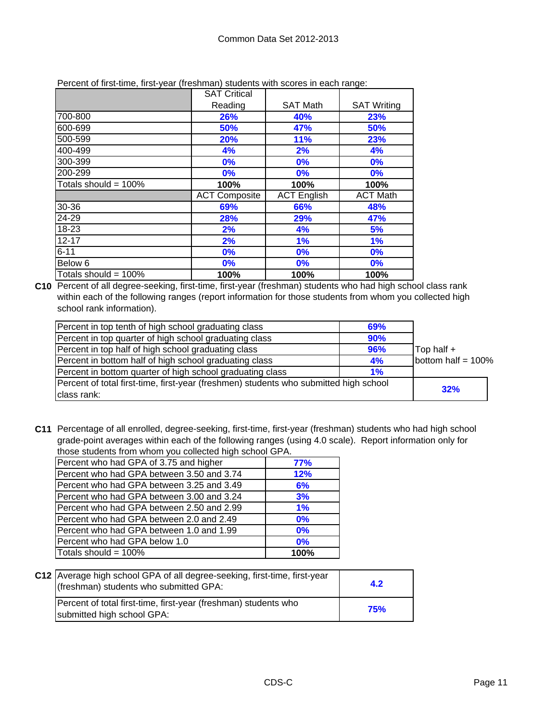|                         | <b>SAT Critical</b>  |                    |                    |
|-------------------------|----------------------|--------------------|--------------------|
|                         | Reading              | <b>SAT Math</b>    | <b>SAT Writing</b> |
| 700-800                 | 26%                  | 40%                | 23%                |
| 600-699                 | 50%                  | 47%                | 50%                |
| 500-599                 | 20%                  | <b>11%</b>         | 23%                |
| 400-499                 | 4%                   | 2%                 | 4%                 |
| 300-399                 | 0%                   | 0%                 | 0%                 |
| 200-299                 | 0%                   | 0%                 | 0%                 |
| Totals should = $100\%$ | 100%                 | 100%               | 100%               |
|                         | <b>ACT Composite</b> | <b>ACT English</b> | <b>ACT Math</b>    |
| 30-36                   | 69%                  | 66%                | 48%                |
| 24-29                   | 28%                  | 29%                | 47%                |
| 18-23                   | 2%                   | 4%                 | 5%                 |
| $12 - 17$               | 2%                   | 1%                 | 1%                 |
| $6 - 11$                | 0%                   | 0%                 | 0%                 |
| Below <sub>6</sub>      | $0\%$                | 0%                 | 0%                 |
| Totals should = $100\%$ | 100%                 | 100%               | 100%               |

Percent of first-time, first-year (freshman) students with scores in each range:

**C10** Percent of all degree-seeking, first-time, first-year (freshman) students who had high school class rank within each of the following ranges (report information for those students from whom you collected high school rank information).

| Percent in top tenth of high school graduating class                                  | <b>69%</b> |                       |
|---------------------------------------------------------------------------------------|------------|-----------------------|
| Percent in top quarter of high school graduating class                                | 90%        |                       |
| Percent in top half of high school graduating class                                   | 96%        | Top half +            |
| Percent in bottom half of high school graduating class                                | 4%         | bottom half = $100\%$ |
| Percent in bottom quarter of high school graduating class                             | 1%         |                       |
| Percent of total first-time, first-year (freshmen) students who submitted high school | 32%        |                       |
| class rank:                                                                           |            |                       |

**C11** Percentage of all enrolled, degree-seeking, first-time, first-year (freshman) students who had high school grade-point averages within each of the following ranges (using 4.0 scale). Report information only for those students from whom you collected high school GPA.

| alooo olaabiilo iroin miloni yoa oollooloa man oorlool Or 7 li |       |  |  |
|----------------------------------------------------------------|-------|--|--|
| Percent who had GPA of 3.75 and higher                         | 77%   |  |  |
| Percent who had GPA between 3.50 and 3.74                      | 12%   |  |  |
| Percent who had GPA between 3.25 and 3.49                      | 6%    |  |  |
| Percent who had GPA between 3.00 and 3.24                      | 3%    |  |  |
| Percent who had GPA between 2.50 and 2.99                      | $1\%$ |  |  |
| Percent who had GPA between 2.0 and 2.49                       | 0%    |  |  |
| Percent who had GPA between 1.0 and 1.99                       | 0%    |  |  |
| Percent who had GPA below 1.0                                  | 0%    |  |  |
| Totals should = 100%                                           | 100%  |  |  |

| C12 Average high school GPA of all degree-seeking, first-time, first-year<br>(freshman) students who submitted GPA: | 4.2        |
|---------------------------------------------------------------------------------------------------------------------|------------|
| Percent of total first-time, first-year (freshman) students who<br>submitted high school GPA:                       | <b>75%</b> |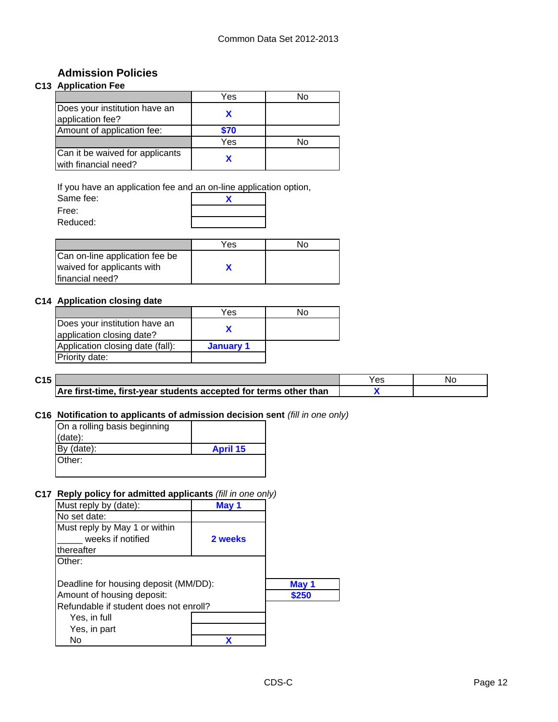# **Admission Policies**

# **C13 Application Fee**

|                                                         | Yes  | Nο |
|---------------------------------------------------------|------|----|
| Does your institution have an<br>application fee?       |      |    |
| Amount of application fee:                              | \$70 |    |
|                                                         | Yes  | N٥ |
| Can it be waived for applicants<br>with financial need? |      |    |

If you have an application fee and an on-line application option,

| Same fee: |  |
|-----------|--|
| Free:     |  |
| Reduced:  |  |

|                                                              | Yes | No. |
|--------------------------------------------------------------|-----|-----|
| Can on-line application fee be<br>waived for applicants with |     |     |
| financial need?                                              |     |     |

### **C14 Application closing date**

|                                                            | Yes       | N٥ |
|------------------------------------------------------------|-----------|----|
| Does your institution have an<br>application closing date? |           |    |
| Application closing date (fall):                           | January 1 |    |
| Priority date:                                             |           |    |

| C <sub>15</sub> |                                                                   | 53 | Nο |
|-----------------|-------------------------------------------------------------------|----|----|
|                 | Are first-time, first-year students accepted for terms other than |    |    |

#### **C16 Notification to applicants of admission decision sent** *(fill in one only)*

| On a rolling basis beginning |                 |
|------------------------------|-----------------|
| $(data)$ :                   |                 |
| By (date):                   | <b>April 15</b> |
| Other:                       |                 |
|                              |                 |

### **C17 Reply policy for admitted applicants** *(fill in one only)*

| Must reply by (date):                  | Mav 1   |       |
|----------------------------------------|---------|-------|
| No set date:                           |         |       |
| Must reply by May 1 or within          |         |       |
| weeks if notified                      | 2 weeks |       |
| thereafter                             |         |       |
| Other:                                 |         |       |
|                                        |         |       |
| Deadline for housing deposit (MM/DD):  |         | May 1 |
| Amount of housing deposit:             |         | \$250 |
| Refundable if student does not enroll? |         |       |
| Yes, in full                           |         |       |
| Yes, in part                           |         |       |
| No                                     |         |       |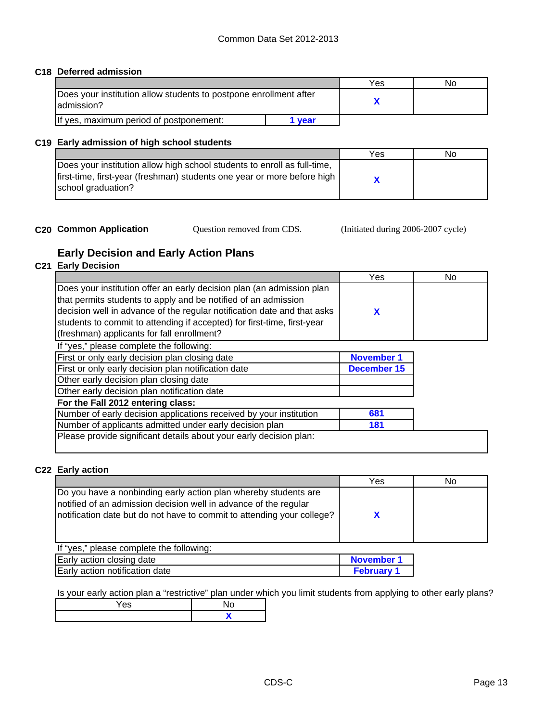### **C18 Deferred admission**

|                                                                                  |      | Yes | Nο |
|----------------------------------------------------------------------------------|------|-----|----|
| Does your institution allow students to postpone enrollment after<br>ladmission? |      |     |    |
| If yes, maximum period of postponement:                                          | vear |     |    |

#### **C19 Early admission of high school students**

|                                                                          | Yes | No |
|--------------------------------------------------------------------------|-----|----|
| Does your institution allow high school students to enroll as full-time, |     |    |
| first-time, first-year (freshman) students one year or more before high  |     |    |
| school graduation?                                                       |     |    |
|                                                                          |     |    |

**C20 Common Application Question removed from CDS.** (Initiated during 2006-2007 cycle)

# **Early Decision and Early Action Plans**

### **C21 Early Decision**

|                                                                                                                                                                                                                                                                                                                                             | Yes               | No |
|---------------------------------------------------------------------------------------------------------------------------------------------------------------------------------------------------------------------------------------------------------------------------------------------------------------------------------------------|-------------------|----|
| Does your institution offer an early decision plan (an admission plan<br>that permits students to apply and be notified of an admission<br>decision well in advance of the regular notification date and that asks<br>students to commit to attending if accepted) for first-time, first-year<br>(freshman) applicants for fall enrollment? | X                 |    |
| If "yes," please complete the following:                                                                                                                                                                                                                                                                                                    |                   |    |
| First or only early decision plan closing date                                                                                                                                                                                                                                                                                              | <b>November 1</b> |    |
| First or only early decision plan notification date                                                                                                                                                                                                                                                                                         | December 15       |    |
| Other early decision plan closing date                                                                                                                                                                                                                                                                                                      |                   |    |
| Other early decision plan notification date                                                                                                                                                                                                                                                                                                 |                   |    |
| For the Fall 2012 entering class:                                                                                                                                                                                                                                                                                                           |                   |    |
| Number of early decision applications received by your institution                                                                                                                                                                                                                                                                          | 681               |    |
| Number of applicants admitted under early decision plan                                                                                                                                                                                                                                                                                     | 181               |    |
| Please provide significant details about your early decision plan:                                                                                                                                                                                                                                                                          |                   |    |

#### **C22 Early action**

|                                                                                                                                                                                                               | Yes | Nο |
|---------------------------------------------------------------------------------------------------------------------------------------------------------------------------------------------------------------|-----|----|
| Do you have a nonbinding early action plan whereby students are<br>notified of an admission decision well in advance of the regular<br>notification date but do not have to commit to attending your college? |     |    |

| <u>II yes, piease complete the following.</u> |                 |
|-----------------------------------------------|-----------------|
| Early action closing date                     | November 1      |
| Early action notification date                | <b>February</b> |

Is your early action plan a "restrictive" plan under which you limit students from applying to other early plans?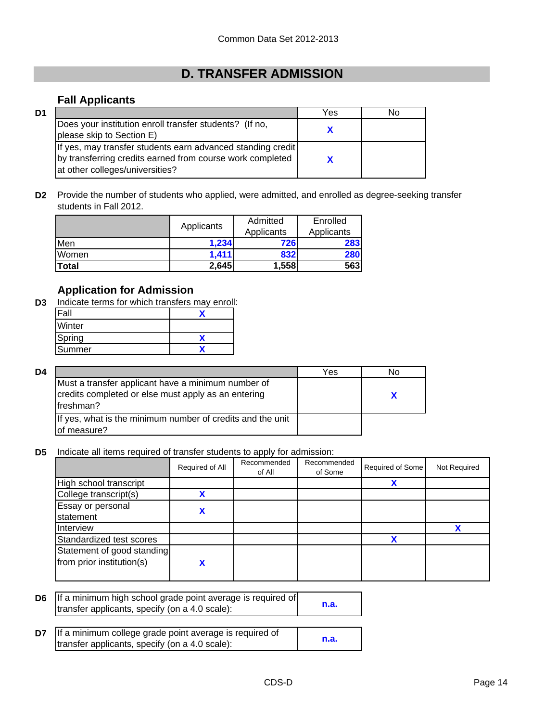# **D. TRANSFER ADMISSION**

# **Fall Applicants**

| D1 |                                                                                                                                                             | Yes | No |
|----|-------------------------------------------------------------------------------------------------------------------------------------------------------------|-----|----|
|    | Does your institution enroll transfer students? (If no,<br>please skip to Section E)                                                                        |     |    |
|    | If yes, may transfer students earn advanced standing credit<br>by transferring credits earned from course work completed<br>at other colleges/universities? |     |    |

**D2** Provide the number of students who applied, were admitted, and enrolled as degree-seeking transfer students in Fall 2012.

|       | Applicants | Admitted   | Enrolled   |
|-------|------------|------------|------------|
|       |            | Applicants | Applicants |
| Men   | 1.234      | 726        | 283        |
| Women | 1,411      | 832        | 280        |
| Total | 2,645      | 1,558      | 563        |

# **Application for Admission**

**D3** Indicate terms for which transfers may enroll:

| Fall   |  |
|--------|--|
| Winter |  |
| Spring |  |
| Summer |  |

| D4 |                                                                                                                         | Yes | N٥ |
|----|-------------------------------------------------------------------------------------------------------------------------|-----|----|
|    | Must a transfer applicant have a minimum number of<br>credits completed or else must apply as an entering<br>lfreshman? |     |    |
|    | If yes, what is the minimum number of credits and the unit<br>of measure?                                               |     |    |

**D5** Indicate all items required of transfer students to apply for admission:

|                                                         | Required of All | Recommended<br>of All | Recommended<br>of Some | Required of Some | Not Required |
|---------------------------------------------------------|-----------------|-----------------------|------------------------|------------------|--------------|
| High school transcript                                  |                 |                       |                        | Х                |              |
| College transcript(s)                                   |                 |                       |                        |                  |              |
| Essay or personal<br>statement                          |                 |                       |                        |                  |              |
| Interview                                               |                 |                       |                        |                  |              |
| Standardized test scores                                |                 |                       |                        | v                |              |
| Statement of good standing<br>from prior institution(s) |                 |                       |                        |                  |              |

**D6 n.a.** If a minimum high school grade point average is required of transfer applicants, specify (on a 4.0 scale):

| D7 | If a minimum college grade point average is required of |      |
|----|---------------------------------------------------------|------|
|    | transfer applicants, specify (on a 4.0 scale):          | n.a. |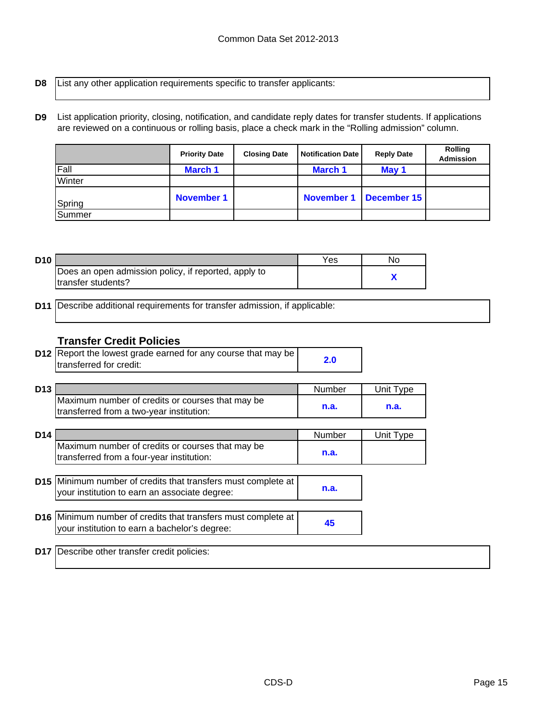- **D8** List any other application requirements specific to transfer applicants:
- **D9** List application priority, closing, notification, and candidate reply dates for transfer students. If applications are reviewed on a continuous or rolling basis, place a check mark in the "Rolling admission" column.

|        | <b>Priority Date</b> | <b>Closing Date</b> | <b>Notification Date</b> | <b>Reply Date</b> | <b>Rolling</b><br><b>Admission</b> |
|--------|----------------------|---------------------|--------------------------|-------------------|------------------------------------|
| Fall   | <b>March 1</b>       |                     | <b>March 1</b>           | May 1             |                                    |
| Winter |                      |                     |                          |                   |                                    |
| Spring | <b>November 1</b>    |                     | <b>November 1</b>        | December 15       |                                    |
| Summer |                      |                     |                          |                   |                                    |

| D <sub>10</sub> |                                                      | Yes | No |
|-----------------|------------------------------------------------------|-----|----|
|                 | Does an open admission policy, if reported, apply to |     |    |
|                 | Itransfer students?                                  |     |    |

**D11** Describe additional requirements for transfer admission, if applicable:

# **Transfer Credit Policies**

| <b>D12</b> Report the lowest grade earned for any course that may be | 2.0 |
|----------------------------------------------------------------------|-----|
| transferred for credit:                                              |     |

| D <sub>13</sub> |                                                  | Number | Unit Tvpe |
|-----------------|--------------------------------------------------|--------|-----------|
|                 | Maximum number of credits or courses that may be |        |           |
|                 | transferred from a two-year institution:         | n.a.   | n.a.      |

| D <sub>14</sub> |                                                  | Number | Unit Type |
|-----------------|--------------------------------------------------|--------|-----------|
|                 | Maximum number of credits or courses that may be |        |           |
|                 | transferred from a four-year institution:        | n.a.   |           |

| <b>D15</b> Minimum number of credits that transfers must complete at<br>your institution to earn an associate degree: | n.a. |
|-----------------------------------------------------------------------------------------------------------------------|------|
| D16 Minimum number of credits that transfers must complete at<br>your institution to earn a bachelor's degree:        | 45   |

**D17** Describe other transfer credit policies: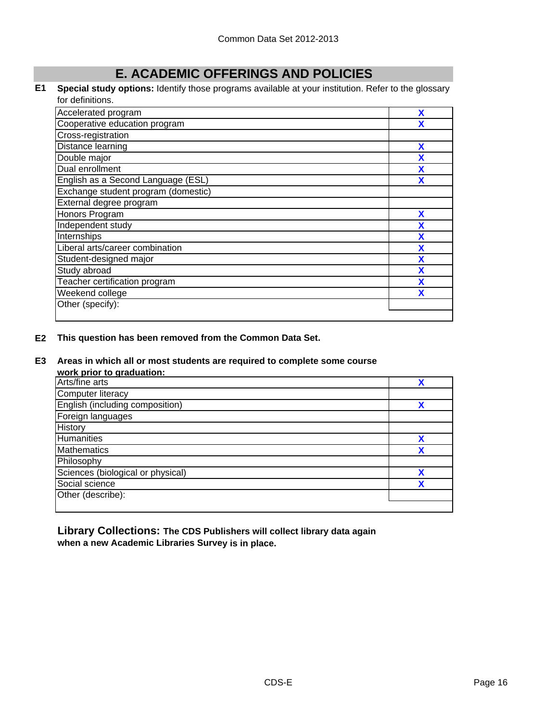# **E. ACADEMIC OFFERINGS AND POLICIES**

#### **E1 Special study options:** Identify those programs available at your institution. Refer to the glossary for definitions.

| Accelerated program                 | X |
|-------------------------------------|---|
| Cooperative education program       |   |
| Cross-registration                  |   |
| Distance learning                   | X |
| Double major                        | X |
| Dual enrollment                     | X |
| English as a Second Language (ESL)  | x |
| Exchange student program (domestic) |   |
| External degree program             |   |
| Honors Program                      | X |
| Independent study                   | X |
| Internships                         | X |
| Liberal arts/career combination     | X |
| Student-designed major              | X |
| Study abroad                        | X |
| Teacher certification program       | X |
| Weekend college                     |   |
| Other (specify):                    |   |
|                                     |   |

#### **E2 This question has been removed from the Common Data Set.**

#### **E3 Areas in which all or most students are required to complete some course**

**work prior to graduation:**

| <b>WOLN DITOL TO GLAUGHOLL</b>    |   |
|-----------------------------------|---|
| Arts/fine arts                    |   |
| <b>Computer literacy</b>          |   |
| English (including composition)   | χ |
| Foreign languages                 |   |
| History                           |   |
| Humanities                        | χ |
| <b>Mathematics</b>                |   |
| Philosophy                        |   |
| Sciences (biological or physical) |   |
| Social science                    | v |
| Other (describe):                 |   |
|                                   |   |

**Library Collections: The CDS Publishers will collect library data again when a new Academic Libraries Survey is in place.**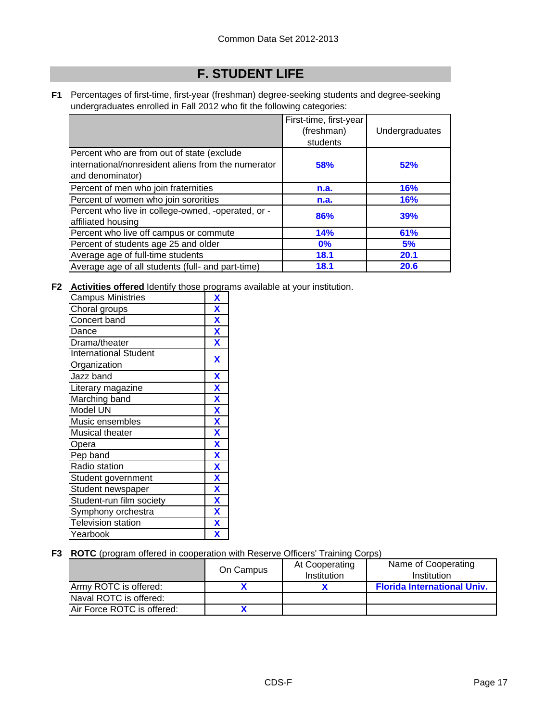# **F. STUDENT LIFE**

**F1** Percentages of first-time, first-year (freshman) degree-seeking students and degree-seeking undergraduates enrolled in Fall 2012 who fit the following categories:

|                                                                                                                       | First-time, first-year<br>(freshman)<br>students | Undergraduates |
|-----------------------------------------------------------------------------------------------------------------------|--------------------------------------------------|----------------|
| Percent who are from out of state (exclude<br>international/nonresident aliens from the numerator<br>and denominator) | <b>58%</b>                                       | 52%            |
| Percent of men who join fraternities                                                                                  | n.a.                                             | <b>16%</b>     |
| Percent of women who join sororities                                                                                  | n.a.                                             | 16%            |
| Percent who live in college-owned, -operated, or -<br>affiliated housing                                              | 86%                                              | 39%            |
| Percent who live off campus or commute                                                                                | 14%                                              | 61%            |
| Percent of students age 25 and older                                                                                  | $0\%$                                            | 5%             |
| Average age of full-time students                                                                                     | 18.1                                             | 20.1           |
| Average age of all students (full- and part-time)                                                                     | 18.1                                             | 20.6           |

**F2 Activities offered** Identify those programs available at your institution.

| <b>Campus Ministries</b>     | X                         |
|------------------------------|---------------------------|
| Choral groups                | $\mathbf x$               |
| Concert band                 | X                         |
| Dance                        | $\overline{\mathbf{X}}$   |
| Drama/theater                | $\overline{\mathbf{X}}$   |
| <b>International Student</b> | X                         |
| Organization                 |                           |
| Jazz band                    | X                         |
| Literary magazine            | $\boldsymbol{\mathsf{X}}$ |
| Marching band                | $\overline{\mathbf{X}}$   |
| Model UN                     | $\overline{\mathbf{X}}$   |
| Music ensembles              | $\overline{\mathbf{X}}$   |
| Musical theater              | $\overline{\mathbf{X}}$   |
| Opera                        | $\overline{\mathbf{X}}$   |
| Pep band                     | X                         |
| Radio station                | $\overline{\mathbf{X}}$   |
| Student government           | $\overline{\mathbf{X}}$   |
| Student newspaper            | X                         |
| Student-run film society     | X                         |
| Symphony orchestra           | $\overline{\mathbf{X}}$   |
| <b>Television station</b>    | $\overline{\mathbf{X}}$   |
| Yearbook                     | χ                         |

### **F3 ROTC** (program offered in cooperation with Reserve Officers' Training Corps)

|                            | On Campus | At Cooperating<br>Institution | Name of Cooperating<br>Institution |
|----------------------------|-----------|-------------------------------|------------------------------------|
| Army ROTC is offered:      |           |                               | <b>Florida International Univ.</b> |
| Naval ROTC is offered:     |           |                               |                                    |
| Air Force ROTC is offered: |           |                               |                                    |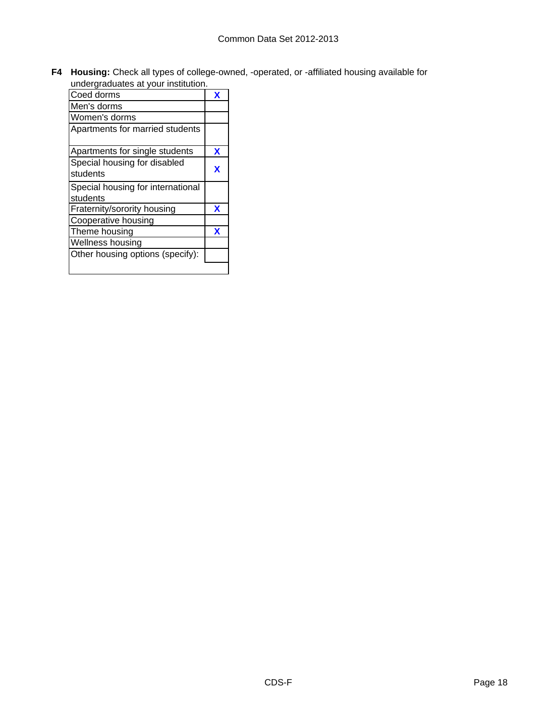**F4 Housing:** Check all types of college-owned, -operated, or -affiliated housing available for undergraduates at your institution.

| undergraduates at your institution.           |   |
|-----------------------------------------------|---|
| Coed dorms                                    | x |
| Men's dorms                                   |   |
| Women's dorms                                 |   |
| Apartments for married students               |   |
| Apartments for single students                | x |
| Special housing for disabled<br>students      | x |
| Special housing for international<br>students |   |
| Fraternity/sorority housing                   | X |
| Cooperative housing                           |   |
| Theme housing                                 | X |
| Wellness housing                              |   |
| Other housing options (specify):              |   |
|                                               |   |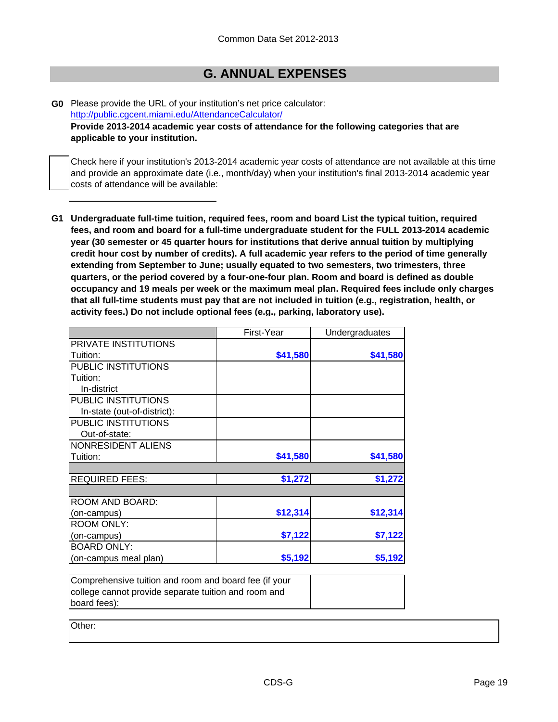# **G. ANNUAL EXPENSES**

**G0** Please provide the URL of your institution's net price calculator: http://public.cgcent.miami.edu/AttendanceCalculator/ **Provide 2013-2014 academic year costs of attendance for the following categories that are applicable to your institution.**

Check here if your institution's 2013-2014 academic year costs of attendance are not available at this time and provide an approximate date (i.e., month/day) when your institution's final 2013-2014 academic year costs of attendance will be available:

**G1 Undergraduate full-time tuition, required fees, room and board List the typical tuition, required fees, and room and board for a full-time undergraduate student for the FULL 2013-2014 academic year (30 semester or 45 quarter hours for institutions that derive annual tuition by multiplying credit hour cost by number of credits). A full academic year refers to the period of time generally extending from September to June; usually equated to two semesters, two trimesters, three quarters, or the period covered by a four-one-four plan. Room and board is defined as double occupancy and 19 meals per week or the maximum meal plan. Required fees include only charges that all full-time students must pay that are not included in tuition (e.g., registration, health, or activity fees.) Do not include optional fees (e.g., parking, laboratory use).**

| \$41,580 | \$41,580 |
|----------|----------|
|          |          |
|          |          |
|          |          |
|          |          |
|          |          |
|          |          |
|          |          |
|          |          |
| \$41,580 | \$41,580 |
|          | \$1,272  |
|          |          |
|          |          |
| \$12,314 | \$12,314 |
|          |          |
| \$7,122  | \$7,122  |
|          |          |
| \$5,192  | \$5,192  |
|          | \$1,272  |

| Comprehensive tuition and room and board fee (if your |  |
|-------------------------------------------------------|--|
| college cannot provide separate tuition and room and  |  |
| board fees):                                          |  |

Other: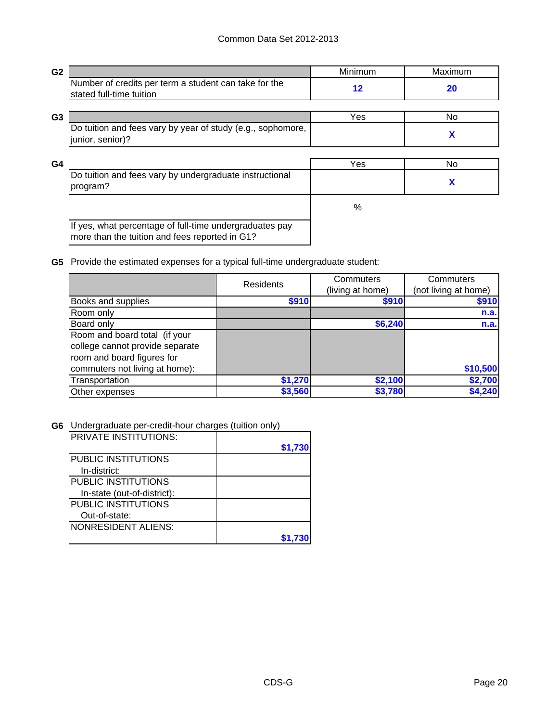| G <sub>2</sub> |                                                                                                           | Minimum           | Maximum |
|----------------|-----------------------------------------------------------------------------------------------------------|-------------------|---------|
|                | Number of credits per term a student can take for the<br>stated full-time tuition                         | $12 \ \mathsf{ }$ | 20      |
| G <sub>3</sub> |                                                                                                           | Yes               | No.     |
|                | Do tuition and fees vary by year of study (e.g., sophomore,<br>junior, senior)?                           |                   | X       |
| G <sub>4</sub> |                                                                                                           | Yes               | No.     |
|                | Do tuition and fees vary by undergraduate instructional<br>program?                                       |                   | X       |
|                |                                                                                                           | $\%$              |         |
|                | If yes, what percentage of full-time undergraduates pay<br>more than the tuition and fees reported in G1? |                   |         |

**G5** Provide the estimated expenses for a typical full-time undergraduate student:

|                                 | <b>Residents</b> | Commuters        | Commuters            |
|---------------------------------|------------------|------------------|----------------------|
|                                 |                  | (living at home) | (not living at home) |
| Books and supplies              | \$910            | \$910            | \$910                |
| Room only                       |                  |                  | n.a.                 |
| Board only                      |                  | \$6,240          | n.a.                 |
| Room and board total (if your   |                  |                  |                      |
| college cannot provide separate |                  |                  |                      |
| room and board figures for      |                  |                  |                      |
| commuters not living at home):  |                  |                  | \$10,500             |
| Transportation                  | \$1,270          | \$2,100          | \$2,700              |
| Other expenses                  | \$3,560          | \$3,780          | \$4,240              |

**G6** Undergraduate per-credit-hour charges (tuition only)

| IPRIVATE INSTITUTIONS:      |         |
|-----------------------------|---------|
|                             | \$1,730 |
| <b>PUBLIC INSTITUTIONS</b>  |         |
| In-district:                |         |
| <b>PUBLIC INSTITUTIONS</b>  |         |
| In-state (out-of-district): |         |
| <b>PUBLIC INSTITUTIONS</b>  |         |
| Out-of-state:               |         |
| <b>NONRESIDENT ALIENS:</b>  |         |
|                             |         |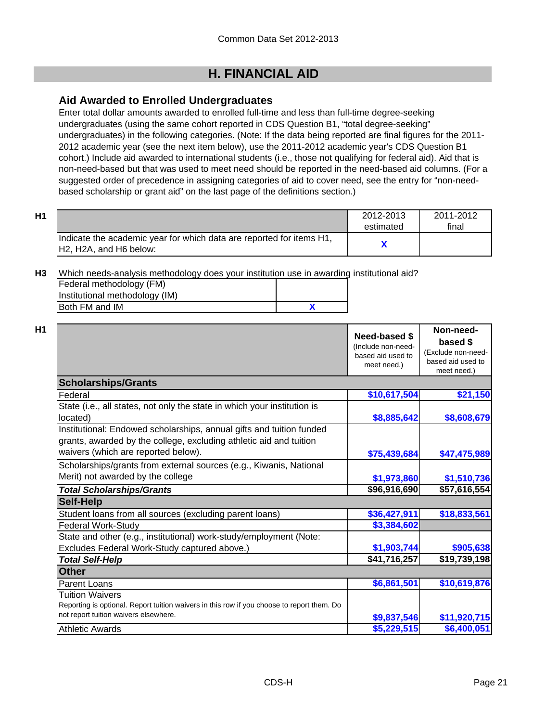# **H. FINANCIAL AID**

# **Aid Awarded to Enrolled Undergraduates**

Enter total dollar amounts awarded to enrolled full-time and less than full-time degree-seeking undergraduates (using the same cohort reported in CDS Question B1, "total degree-seeking" undergraduates) in the following categories. (Note: If the data being reported are final figures for the 2011- 2012 academic year (see the next item below), use the 2011-2012 academic year's CDS Question B1 cohort.) Include aid awarded to international students (i.e., those not qualifying for federal aid). Aid that is non-need-based but that was used to meet need should be reported in the need-based aid columns. (For a suggested order of precedence in assigning categories of aid to cover need, see the entry for "non-needbased scholarship or grant aid" on the last page of the definitions section.)

| H1 |                                                                                                 | 2012-2013<br>estimated | 2011-2012<br>final |
|----|-------------------------------------------------------------------------------------------------|------------------------|--------------------|
|    | Indicate the academic year for which data are reported for items H1,<br>IH2. H2A. and H6 below: |                        |                    |

**H3** Which needs-analysis methodology does your institution use in awarding institutional aid?

| Federal methodology (FM)       |  |
|--------------------------------|--|
| Institutional methodology (IM) |  |
| <b>IBoth FM and IM</b>         |  |

|                                                                                                                                                                                   | Need-based \$<br>(Include non-need-<br>based aid used to<br>meet need.) | Non-need-<br>based \$<br>(Exclude non-need-<br>based aid used to<br>meet need.) |
|-----------------------------------------------------------------------------------------------------------------------------------------------------------------------------------|-------------------------------------------------------------------------|---------------------------------------------------------------------------------|
| <b>Scholarships/Grants</b>                                                                                                                                                        |                                                                         |                                                                                 |
| Federal                                                                                                                                                                           | \$10,617,504                                                            | \$21,150                                                                        |
| State (i.e., all states, not only the state in which your institution is<br>located)                                                                                              | \$8,885,642                                                             | \$8,608,679                                                                     |
| Institutional: Endowed scholarships, annual gifts and tuition funded<br>grants, awarded by the college, excluding athletic aid and tuition<br>waivers (which are reported below). | \$75,439,684                                                            | \$47,475,989                                                                    |
| Scholarships/grants from external sources (e.g., Kiwanis, National<br>Merit) not awarded by the college                                                                           | \$1,973,860                                                             | \$1,510,736                                                                     |
| <b>Total Scholarships/Grants</b>                                                                                                                                                  | \$96,916,690                                                            | \$57,616,554                                                                    |
| <b>Self-Help</b>                                                                                                                                                                  |                                                                         |                                                                                 |
| Student loans from all sources (excluding parent loans)                                                                                                                           | \$36,427,911                                                            | \$18,833,561                                                                    |
| <b>Federal Work-Study</b>                                                                                                                                                         | \$3,384,602                                                             |                                                                                 |
| State and other (e.g., institutional) work-study/employment (Note:                                                                                                                |                                                                         |                                                                                 |
| Excludes Federal Work-Study captured above.)                                                                                                                                      | \$1,903,744                                                             | \$905,638                                                                       |
| <b>Total Self-Help</b>                                                                                                                                                            | \$41,716,257                                                            | \$19,739,198                                                                    |
| <b>Other</b>                                                                                                                                                                      |                                                                         |                                                                                 |
| Parent Loans                                                                                                                                                                      | \$6,861,501                                                             | \$10,619,876                                                                    |
| Tuition Waivers<br>Reporting is optional. Report tuition waivers in this row if you choose to report them. Do<br>not report tuition waivers elsewhere.                            | \$9,837,546                                                             | \$11,920,715                                                                    |
| <b>Athletic Awards</b>                                                                                                                                                            | \$5,229,515                                                             | \$6,400,051                                                                     |

**Non-need-**

 $\mathbf{I}$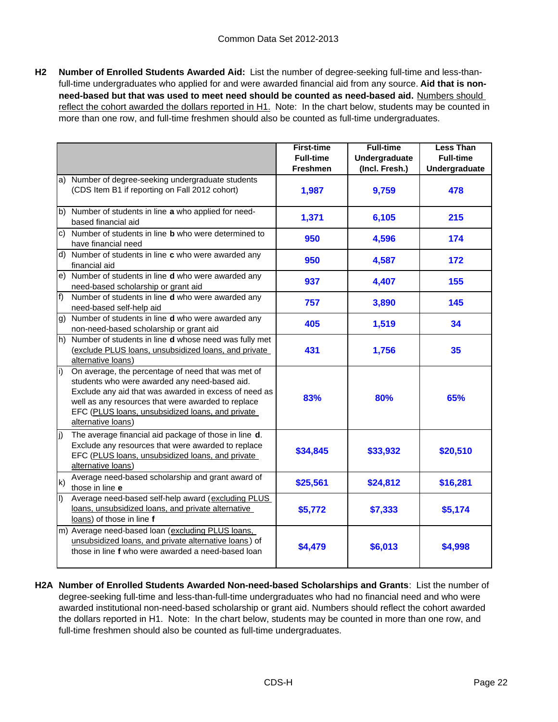**H2 Number of Enrolled Students Awarded Aid:** List the number of degree-seeking full-time and less-thanfull-time undergraduates who applied for and were awarded financial aid from any source. **Aid that is nonneed-based but that was used to meet need should be counted as need-based aid.** Numbers should reflect the cohort awarded the dollars reported in H1. Note: In the chart below, students may be counted in more than one row, and full-time freshmen should also be counted as full-time undergraduates.

|                   |                                                                                                                                                                                                                                                                                              | <b>First-time</b><br><b>Full-time</b> | <b>Full-time</b><br>Undergraduate | <b>Less Than</b><br><b>Full-time</b> |
|-------------------|----------------------------------------------------------------------------------------------------------------------------------------------------------------------------------------------------------------------------------------------------------------------------------------------|---------------------------------------|-----------------------------------|--------------------------------------|
|                   |                                                                                                                                                                                                                                                                                              | <b>Freshmen</b>                       | (Incl. Fresh.)                    | Undergraduate                        |
| a)                | Number of degree-seeking undergraduate students<br>(CDS Item B1 if reporting on Fall 2012 cohort)                                                                                                                                                                                            | 1,987                                 | 9,759                             | 478                                  |
|                   | b) Number of students in line a who applied for need-<br>based financial aid                                                                                                                                                                                                                 | 1,371                                 | 6,105                             | 215                                  |
| c)                | Number of students in line <b>b</b> who were determined to<br>have financial need                                                                                                                                                                                                            | 950                                   | 4,596                             | 174                                  |
|                   | d) Number of students in line c who were awarded any<br>financial aid                                                                                                                                                                                                                        | 950                                   | 4,587                             | 172                                  |
| e)                | Number of students in line d who were awarded any<br>need-based scholarship or grant aid                                                                                                                                                                                                     | 937                                   | 4,407                             | 155                                  |
| f                 | Number of students in line d who were awarded any<br>need-based self-help aid                                                                                                                                                                                                                | 757                                   | 3,890                             | 145                                  |
| g)                | Number of students in line d who were awarded any<br>non-need-based scholarship or grant aid                                                                                                                                                                                                 | 405                                   | 1,519                             | 34                                   |
| h)                | Number of students in line d whose need was fully met<br>(exclude PLUS loans, unsubsidized loans, and private<br>alternative loans)                                                                                                                                                          | 431                                   | 1,756                             | 35                                   |
| $\vert i \rangle$ | On average, the percentage of need that was met of<br>students who were awarded any need-based aid.<br>Exclude any aid that was awarded in excess of need as<br>well as any resources that were awarded to replace<br>EFC (PLUS loans, unsubsidized loans, and private<br>alternative loans) | 83%                                   | 80%                               | 65%                                  |
| j)                | The average financial aid package of those in line d.<br>Exclude any resources that were awarded to replace<br>EFC (PLUS loans, unsubsidized loans, and private<br>alternative loans)                                                                                                        | \$34,845                              | \$33,932                          | \$20,510                             |
| k)                | Average need-based scholarship and grant award of<br>those in line e                                                                                                                                                                                                                         | \$25,561                              | \$24,812                          | \$16,281                             |
| $\vert$           | Average need-based self-help award (excluding PLUS<br>loans, unsubsidized loans, and private alternative<br>loans) of those in line f                                                                                                                                                        | \$5,772                               | \$7,333                           | \$5,174                              |
|                   | m) Average need-based loan (excluding PLUS loans,<br>unsubsidized loans, and private alternative loans) of<br>those in line f who were awarded a need-based loan                                                                                                                             | \$4,479                               | \$6,013                           | \$4,998                              |

**H2A Number of Enrolled Students Awarded Non-need-based Scholarships and Grants**: List the number of degree-seeking full-time and less-than-full-time undergraduates who had no financial need and who were awarded institutional non-need-based scholarship or grant aid. Numbers should reflect the cohort awarded the dollars reported in H1. Note: In the chart below, students may be counted in more than one row, and full-time freshmen should also be counted as full-time undergraduates.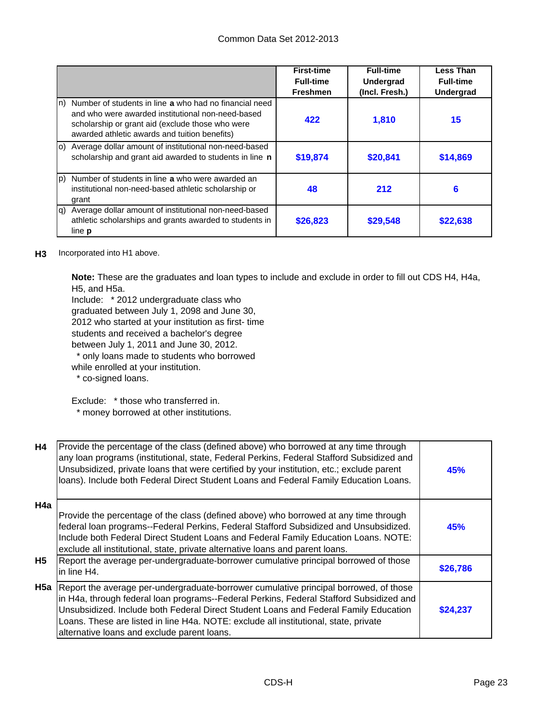|             |                                                                                                                                                                                                                  | <b>First-time</b><br><b>Full-time</b><br><b>Freshmen</b> | <b>Full-time</b><br><b>Undergrad</b><br>(Incl. Fresh.) | <b>Less Than</b><br><b>Full-time</b><br><b>Undergrad</b> |
|-------------|------------------------------------------------------------------------------------------------------------------------------------------------------------------------------------------------------------------|----------------------------------------------------------|--------------------------------------------------------|----------------------------------------------------------|
| In)         | Number of students in line a who had no financial need<br>and who were awarded institutional non-need-based<br>scholarship or grant aid (exclude those who were<br>awarded athletic awards and tuition benefits) | 422                                                      | 1,810                                                  | 15                                                       |
|             | o) Average dollar amount of institutional non-need-based<br>scholarship and grant aid awarded to students in line n                                                                                              | \$19,874                                                 | \$20,841                                               | \$14,869                                                 |
| $ p\rangle$ | Number of students in line a who were awarded an<br>institutional non-need-based athletic scholarship or<br>grant                                                                                                | 48                                                       | 212                                                    | 6                                                        |
|             | q) Average dollar amount of institutional non-need-based<br>athletic scholarships and grants awarded to students in<br>line <b>p</b>                                                                             | \$26,823                                                 | \$29,548                                               | \$22,638                                                 |

#### **H3** Incorporated into H1 above.

**Note:** These are the graduates and loan types to include and exclude in order to fill out CDS H4, H4a, H5, and H5a.

Include: \* 2012 undergraduate class who graduated between July 1, 2098 and June 30, 2012 who started at your institution as first- time students and received a bachelor's degree between July 1, 2011 and June 30, 2012.

\* only loans made to students who borrowed

while enrolled at your institution.

\* co-signed loans.

Exclude: \* those who transferred in.

\* money borrowed at other institutions.

| <b>H4</b> | Provide the percentage of the class (defined above) who borrowed at any time through<br>any loan programs (institutional, state, Federal Perkins, Federal Stafford Subsidized and<br>Unsubsidized, private loans that were certified by your institution, etc.; exclude parent<br>loans). Include both Federal Direct Student Loans and Federal Family Education Loans.                                                    | <b>45%</b> |
|-----------|----------------------------------------------------------------------------------------------------------------------------------------------------------------------------------------------------------------------------------------------------------------------------------------------------------------------------------------------------------------------------------------------------------------------------|------------|
| H4a       | Provide the percentage of the class (defined above) who borrowed at any time through<br>federal loan programs--Federal Perkins, Federal Stafford Subsidized and Unsubsidized.<br>Include both Federal Direct Student Loans and Federal Family Education Loans. NOTE:<br>exclude all institutional, state, private alternative loans and parent loans.                                                                      | 45%        |
| <b>H5</b> | Report the average per-undergraduate-borrower cumulative principal borrowed of those<br>in line H4.                                                                                                                                                                                                                                                                                                                        | \$26,786   |
|           | <b>H5a</b> Report the average per-undergraduate-borrower cumulative principal borrowed, of those<br>in H4a, through federal loan programs--Federal Perkins, Federal Stafford Subsidized and<br>Unsubsidized. Include both Federal Direct Student Loans and Federal Family Education<br>Loans. These are listed in line H4a. NOTE: exclude all institutional, state, private<br>alternative loans and exclude parent loans. | \$24.237   |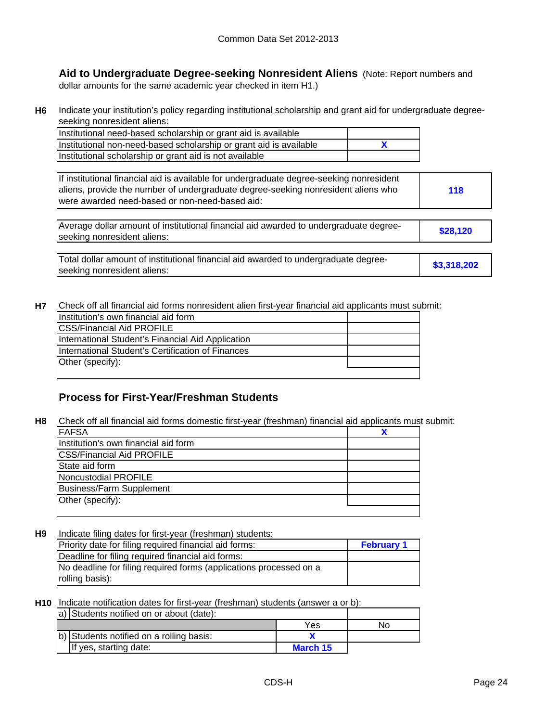**Aid to Undergraduate Degree-seeking Nonresident Aliens** (Note: Report numbers and dollar amounts for the same academic year checked in item H1.)

**H6** Indicate your institution's policy regarding institutional scholarship and grant aid for undergraduate degreeseeking nonresident aliens:

| Institutional need-based scholarship or grant aid is available     |  |
|--------------------------------------------------------------------|--|
| Institutional non-need-based scholarship or grant aid is available |  |
| Institutional scholarship or grant aid is not available            |  |

| If institutional financial aid is available for undergraduate degree-seeking nonresident<br>aliens, provide the number of undergraduate degree-seeking nonresident aliens who<br>were awarded need-based or non-need-based aid: | 118 |
|---------------------------------------------------------------------------------------------------------------------------------------------------------------------------------------------------------------------------------|-----|
|                                                                                                                                                                                                                                 |     |

**\$28,120** Average dollar amount of institutional financial aid awarded to undergraduate degreeseeking nonresident aliens:

| Total dollar amount of institutional financial aid awarded to undergraduate degree- |             |
|-------------------------------------------------------------------------------------|-------------|
| seeking nonresident aliens:                                                         | \$3,318,202 |

**H7** Check off all financial aid forms nonresident alien first-year financial aid applicants must submit:

| Institution's own financial aid form               |  |
|----------------------------------------------------|--|
| <b>ICSS/Financial Aid PROFILE</b>                  |  |
| International Student's Financial Aid Application  |  |
| IInternational Student's Certification of Finances |  |
| Other (specify):                                   |  |
|                                                    |  |

# **Process for First-Year/Freshman Students**

**H8** Check off all financial aid forms domestic first-year (freshman) financial aid applicants must submit:

| <b>FAFSA</b>                         |  |
|--------------------------------------|--|
| Institution's own financial aid form |  |
| <b>CSS/Financial Aid PROFILE</b>     |  |
| State aid form                       |  |
| Noncustodial PROFILE                 |  |
| <b>Business/Farm Supplement</b>      |  |
| Other (specify):                     |  |
|                                      |  |

**H9 February 1** Indicate filing dates for first-year (freshman) students: Priority date for filing required financial aid forms: Deadline for filing required financial aid forms: No deadline for filing required forms (applications processed on a rolling basis):

#### **H10** Indicate notification dates for first-year (freshman) students (answer a or b):

| a) Students notified on or about (date): |          |    |
|------------------------------------------|----------|----|
|                                          | Yes      | No |
| b) Students notified on a rolling basis: |          |    |
| If yes, starting date:                   | March 15 |    |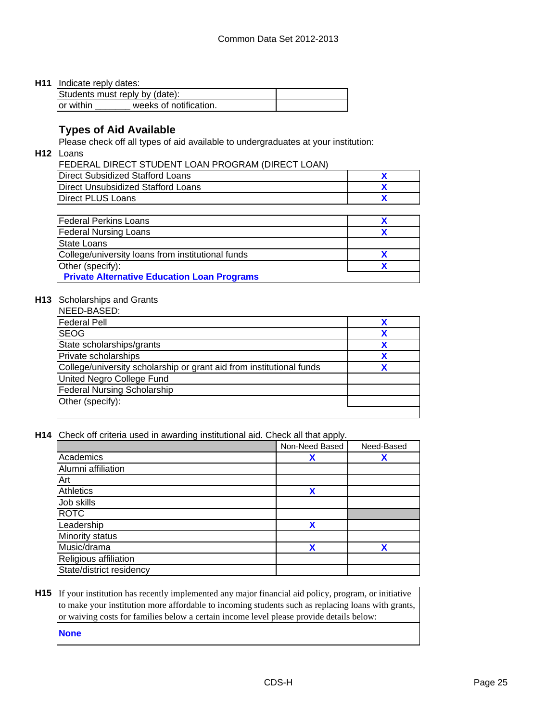#### **H11** Indicate reply dates:

| Students must reply by (date): |                        |  |  |
|--------------------------------|------------------------|--|--|
| lor within                     | weeks of notification. |  |  |

# **Types of Aid Available**

Please check off all types of aid available to undergraduates at your institution:

**H12** Loans

FEDERAL DIRECT STUDENT LOAN PROGRAM (DIRECT LOAN)

| Direct Subsidized Stafford Loans   |  |
|------------------------------------|--|
| Direct Unsubsidized Stafford Loans |  |
| Direct PLUS Loans                  |  |

| <b>Federal Perkins Loans</b>                       |  |
|----------------------------------------------------|--|
| <b>Federal Nursing Loans</b>                       |  |
| <b>State Loans</b>                                 |  |
| College/university loans from institutional funds  |  |
| Other (specify):                                   |  |
| <b>Private Alternative Education Loan Programs</b> |  |

### **H13** Scholarships and Grants

| NEED-BASED:                                                          |  |
|----------------------------------------------------------------------|--|
| <b>Federal Pell</b>                                                  |  |
| <b>SEOG</b>                                                          |  |
| State scholarships/grants                                            |  |
| <b>Private scholarships</b>                                          |  |
| College/university scholarship or grant aid from institutional funds |  |
| United Negro College Fund                                            |  |
| <b>Federal Nursing Scholarship</b>                                   |  |
| Other (specify):                                                     |  |
|                                                                      |  |

**H14** Check off criteria used in awarding institutional aid. Check all that apply.

|                          | Non-Need Based | Need-Based |
|--------------------------|----------------|------------|
| Academics                | Х              | Х          |
| Alumni affiliation       |                |            |
| Art                      |                |            |
| <b>Athletics</b>         | X              |            |
| Job skills               |                |            |
| <b>ROTC</b>              |                |            |
| Leadership               | X              |            |
| Minority status          |                |            |
| Music/drama              | χ              | χ          |
| Religious affiliation    |                |            |
| State/district residency |                |            |

**H15** If your institution has recently implemented any major financial aid policy, program, or initiative to make your institution more affordable to incoming students such as replacing loans with grants, or waiving costs for families below a certain income level please provide details below: **None**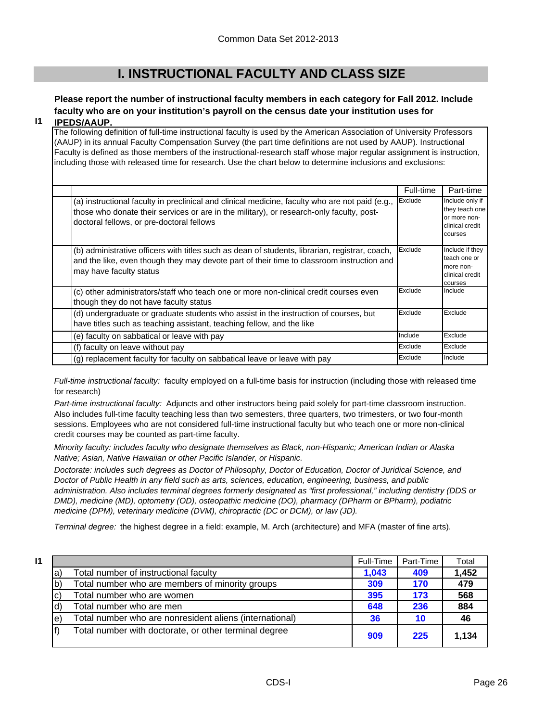# **I. INSTRUCTIONAL FACULTY AND CLASS SIZE**

# **Please report the number of instructional faculty members in each category for Fall 2012. Include faculty who are on your institution's payroll on the census date your institution uses for**

#### **I1 IPEDS/AAUP.**

The following definition of full-time instructional faculty is used by the American Association of University Professors (AAUP) in its annual Faculty Compensation Survey (the part time definitions are not used by AAUP). Instructional Faculty is defined as those members of the instructional-research staff whose major regular assignment is instruction, including those with released time for research. Use the chart below to determine inclusions and exclusions:

|                                                                                                                                                                                                                                          | Full-time | Part-time                                                                       |
|------------------------------------------------------------------------------------------------------------------------------------------------------------------------------------------------------------------------------------------|-----------|---------------------------------------------------------------------------------|
| (a) instructional faculty in preclinical and clinical medicine, faculty who are not paid (e.g.,<br>those who donate their services or are in the military), or research-only faculty, post-<br>doctoral fellows, or pre-doctoral fellows | Exclude   | Include only if<br>they teach one<br>or more non-<br>clinical credit<br>courses |
| (b) administrative officers with titles such as dean of students, librarian, registrar, coach,<br>and the like, even though they may devote part of their time to classroom instruction and<br>may have faculty status                   | Exclude   | Include if they<br>teach one or<br>more non-<br>clinical credit<br>courses      |
| (c) other administrators/staff who teach one or more non-clinical credit courses even<br>though they do not have faculty status                                                                                                          | Exclude   | Include                                                                         |
| (d) undergraduate or graduate students who assist in the instruction of courses, but<br>have titles such as teaching assistant, teaching fellow, and the like                                                                            | Exclude   | Exclude                                                                         |
| (e) faculty on sabbatical or leave with pay                                                                                                                                                                                              | Include   | Exclude                                                                         |
| (f) faculty on leave without pay                                                                                                                                                                                                         | Exclude   | Exclude                                                                         |
| (g) replacement faculty for faculty on sabbatical leave or leave with pay                                                                                                                                                                | Exclude   | Include                                                                         |

*Full-time instructional faculty:* faculty employed on a full-time basis for instruction (including those with released time for research)

*Part-time instructional faculty:* Adjuncts and other instructors being paid solely for part-time classroom instruction. Also includes full-time faculty teaching less than two semesters, three quarters, two trimesters, or two four-month sessions. Employees who are not considered full-time instructional faculty but who teach one or more non-clinical credit courses may be counted as part-time faculty.

*Minority faculty: includes faculty who designate themselves as Black, non-Hispanic; American Indian or Alaska Native; Asian, Native Hawaiian or other Pacific Islander, or Hispanic.* 

*Doctorate: includes such degrees as Doctor of Philosophy, Doctor of Education, Doctor of Juridical Science, and Doctor of Public Health in any field such as arts, sciences, education, engineering, business, and public administration. Also includes terminal degrees formerly designated as "first professional," including dentistry (DDS or DMD), medicine (MD), optometry (OD), osteopathic medicine (DO), pharmacy (DPharm or BPharm), podiatric medicine (DPM), veterinary medicine (DVM), chiropractic (DC or DCM), or law (JD).*

*Terminal degree:* the highest degree in a field: example, M. Arch (architecture) and MFA (master of fine arts).

| 11 |     |                                                         | Full-Time | Part-Time | Total |
|----|-----|---------------------------------------------------------|-----------|-----------|-------|
|    | a   | Total number of instructional faculty                   | 1.043     | 409       | 1,452 |
|    | ۱b) | Total number who are members of minority groups         | 309       | 170       | 479   |
|    | C)  | Total number who are women                              | 395       | 173       | 568   |
|    |     | Total number who are men                                | 648       | 236       | 884   |
|    | e)  | Total number who are nonresident aliens (international) | 36        | 10        | 46    |
|    |     | Total number with doctorate, or other terminal degree   | 909       | 225       | 1.134 |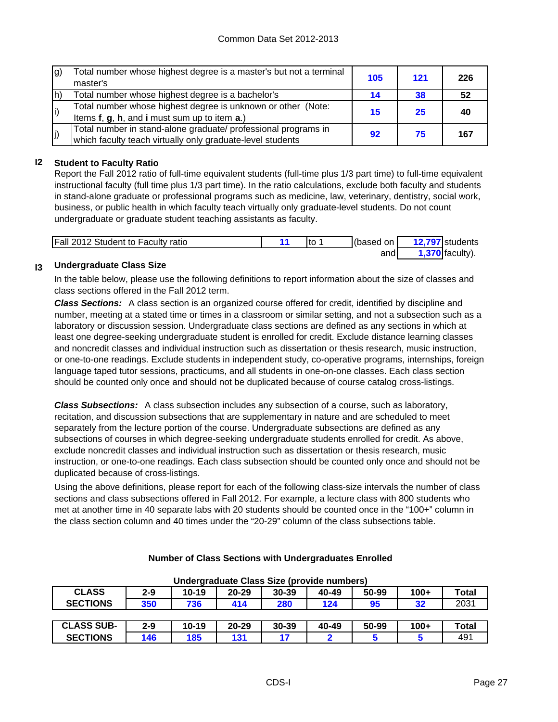| g) | Total number whose highest degree is a master's but not a terminal<br>master's | 105 | 121 | 226 |
|----|--------------------------------------------------------------------------------|-----|-----|-----|
| h) | Total number whose highest degree is a bachelor's                              | 14  | 38  | 52  |
| i) | Total number whose highest degree is unknown or other (Note:                   | 15  | 25  | 40  |
|    | Items f, g, h, and i must sum up to item a.)                                   |     |     |     |
| j) | Total number in stand-alone graduate/ professional programs in                 | 92  | 75  | 167 |
|    | which faculty teach virtually only graduate-level students                     |     |     |     |

### **I2 Student to Faculty Ratio**

Report the Fall 2012 ratio of full-time equivalent students (full-time plus 1/3 part time) to full-time equivalent instructional faculty (full time plus 1/3 part time). In the ratio calculations, exclude both faculty and students in stand-alone graduate or professional programs such as medicine, law, veterinary, dentistry, social work, business, or public health in which faculty teach virtually only graduate-level students. Do not count undergraduate or graduate student teaching assistants as faculty.

| Fall 2012 Student to Faculty ratio | Ito | (based on I | 12,797 students   |
|------------------------------------|-----|-------------|-------------------|
|                                    |     | andl        | $1,370$ faculty). |

#### **I3 Undergraduate Class Size**

In the table below, please use the following definitions to report information about the size of classes and class sections offered in the Fall 2012 term.

*Class Sections:* A class section is an organized course offered for credit, identified by discipline and number, meeting at a stated time or times in a classroom or similar setting, and not a subsection such as a laboratory or discussion session. Undergraduate class sections are defined as any sections in which at least one degree-seeking undergraduate student is enrolled for credit. Exclude distance learning classes and noncredit classes and individual instruction such as dissertation or thesis research, music instruction, or one-to-one readings. Exclude students in independent study, co-operative programs, internships, foreign language taped tutor sessions, practicums, and all students in one-on-one classes. Each class section should be counted only once and should not be duplicated because of course catalog cross-listings.

*Class Subsections:* A class subsection includes any subsection of a course, such as laboratory, recitation, and discussion subsections that are supplementary in nature and are scheduled to meet separately from the lecture portion of the course. Undergraduate subsections are defined as any subsections of courses in which degree-seeking undergraduate students enrolled for credit. As above, exclude noncredit classes and individual instruction such as dissertation or thesis research, music instruction, or one-to-one readings. Each class subsection should be counted only once and should not be duplicated because of cross-listings.

Using the above definitions, please report for each of the following class-size intervals the number of class sections and class subsections offered in Fall 2012. For example, a lecture class with 800 students who met at another time in 40 separate labs with 20 students should be counted once in the "100+" column in the class section column and 40 times under the "20-29" column of the class subsections table.

| Undergraduate Class Size (provide numbers)                                             |         |           |           |       |       |       |        |              |
|----------------------------------------------------------------------------------------|---------|-----------|-----------|-------|-------|-------|--------|--------------|
| <b>CLASS</b><br>$10 - 19$<br>50-99<br>30-39<br>$2 - 9$<br>$100+$<br>40-49<br>$20 - 29$ |         |           |           |       |       |       |        | <b>Total</b> |
| <b>SECTIONS</b>                                                                        | 350     | 736       | 414       | 280   | 124   | 95    | 32     | 2031         |
|                                                                                        |         |           |           |       |       |       |        |              |
| <b>CLASS SUB-</b>                                                                      | $2 - 9$ | $10 - 19$ | $20 - 29$ | 30-39 | 40-49 | 50-99 | $100+$ | <b>Total</b> |
| <b>SECTIONS</b>                                                                        | 146     | 185       | 131       | 17    |       |       |        | 491          |

### **Number of Class Sections with Undergraduates Enrolled**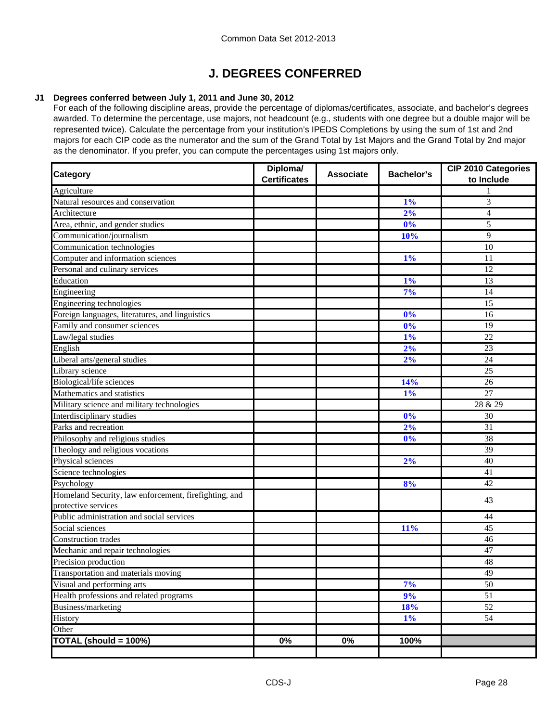# **J. DEGREES CONFERRED**

### **J1 Degrees conferred between July 1, 2011 and June 30, 2012**

For each of the following discipline areas, provide the percentage of diplomas/certificates, associate, and bachelor's degrees awarded. To determine the percentage, use majors, not headcount (e.g., students with one degree but a double major will be represented twice). Calculate the percentage from your institution's IPEDS Completions by using the sum of 1st and 2nd majors for each CIP code as the numerator and the sum of the Grand Total by 1st Majors and the Grand Total by 2nd major as the denominator. If you prefer, you can compute the percentages using 1st majors only.

| Category                                              | Diploma/<br><b>Certificates</b> | <b>Associate</b> | <b>Bachelor's</b> | <b>CIP 2010 Categories</b><br>to Include |
|-------------------------------------------------------|---------------------------------|------------------|-------------------|------------------------------------------|
| Agriculture                                           |                                 |                  |                   |                                          |
| Natural resources and conservation                    |                                 |                  | 1%                | 3                                        |
| Architecture                                          |                                 |                  | 2%                | $\overline{4}$                           |
| Area, ethnic, and gender studies                      |                                 |                  | 0%                | 5                                        |
| Communication/journalism                              |                                 |                  | 10%               | 9                                        |
| Communication technologies                            |                                 |                  |                   | 10                                       |
| Computer and information sciences                     |                                 |                  | $1\%$             | 11                                       |
| Personal and culinary services                        |                                 |                  |                   | 12                                       |
| Education                                             |                                 |                  | 1%                | 13                                       |
| Engineering                                           |                                 |                  | 7%                | 14                                       |
| Engineering technologies                              |                                 |                  |                   | 15                                       |
| Foreign languages, literatures, and linguistics       |                                 |                  | 0%                | 16                                       |
| Family and consumer sciences                          |                                 |                  | 0%                | 19                                       |
| Law/legal studies                                     |                                 |                  | 1%                | 22                                       |
| English                                               |                                 |                  | 2%                | 23                                       |
| Liberal arts/general studies                          |                                 |                  | 2%                | 24                                       |
| Library science                                       |                                 |                  |                   | 25                                       |
| Biological/life sciences                              |                                 |                  | 14%               | 26                                       |
| Mathematics and statistics                            |                                 |                  | 1%                | 27                                       |
| Military science and military technologies            |                                 |                  |                   | 28 & 29                                  |
| Interdisciplinary studies                             |                                 |                  | 0%                | 30                                       |
| Parks and recreation                                  |                                 |                  | 2%                | 31                                       |
| Philosophy and religious studies                      |                                 |                  | 0%                | 38                                       |
| Theology and religious vocations                      |                                 |                  |                   | $\overline{39}$                          |
| Physical sciences                                     |                                 |                  | 2%                | 40                                       |
| Science technologies                                  |                                 |                  |                   | 41                                       |
| Psychology                                            |                                 |                  | 8%                | 42                                       |
| Homeland Security, law enforcement, firefighting, and |                                 |                  |                   | 43                                       |
| protective services                                   |                                 |                  |                   |                                          |
| Public administration and social services             |                                 |                  |                   | 44                                       |
| Social sciences                                       |                                 |                  | 11%               | 45                                       |
| <b>Construction</b> trades                            |                                 |                  |                   | 46                                       |
| Mechanic and repair technologies                      |                                 |                  |                   | 47                                       |
| Precision production                                  |                                 |                  |                   | 48                                       |
| Transportation and materials moving                   |                                 |                  |                   | 49                                       |
| Visual and performing arts                            |                                 |                  | 7%                | 50                                       |
| Health professions and related programs               |                                 |                  | 9%                | $\overline{51}$                          |
| Business/marketing                                    |                                 |                  | 18%               | $\overline{52}$                          |
| History                                               |                                 |                  | 1%                | 54                                       |
| Other                                                 |                                 |                  |                   |                                          |
| TOTAL (should = 100%)                                 | 0%                              | 0%               | 100%              |                                          |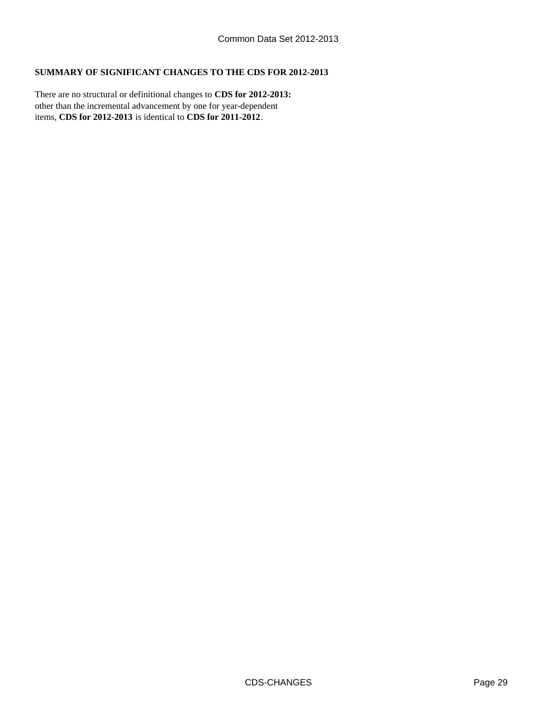## **SUMMARY OF SIGNIFICANT CHANGES TO THE CDS FOR 2012-2013**

other than the incremental advancement by one for year-dependent items, **CDS for 2012-2013** is identical to **CDS for 2011-2012**. There are no structural or definitional changes to **CDS for 2012-2013:**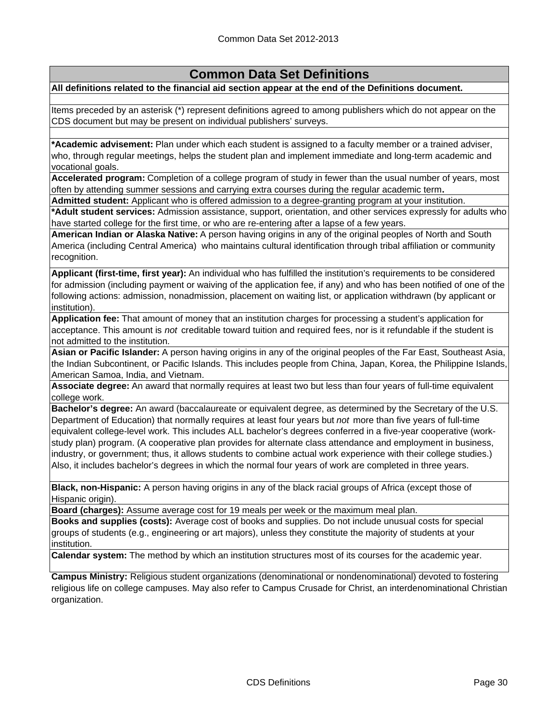# **Common Data Set Definitions**

**All definitions related to the financial aid section appear at the end of the Definitions document.**

Items preceded by an asterisk (\*) represent definitions agreed to among publishers which do not appear on the CDS document but may be present on individual publishers' surveys.

**\*Academic advisement:** Plan under which each student is assigned to a faculty member or a trained adviser, who, through regular meetings, helps the student plan and implement immediate and long-term academic and vocational goals.

**Accelerated program:** Completion of a college program of study in fewer than the usual number of years, most often by attending summer sessions and carrying extra courses during the regular academic term**.**

**Admitted student:** Applicant who is offered admission to a degree-granting program at your institution.

**\*Adult student services:** Admission assistance, support, orientation, and other services expressly for adults who have started college for the first time, or who are re-entering after a lapse of a few years.

**American Indian or Alaska Native:** A person having origins in any of the original peoples of North and South America (including Central America) who maintains cultural identification through tribal affiliation or community recognition.

**Applicant (first-time, first year):** An individual who has fulfilled the institution's requirements to be considered for admission (including payment or waiving of the application fee, if any) and who has been notified of one of the following actions: admission, nonadmission, placement on waiting list, or application withdrawn (by applicant or institution).

**Application fee:** That amount of money that an institution charges for processing a student's application for acceptance. This amount is *not* creditable toward tuition and required fees, nor is it refundable if the student is not admitted to the institution.

**Asian or Pacific Islander:** A person having origins in any of the original peoples of the Far East, Southeast Asia, the Indian Subcontinent, or Pacific Islands. This includes people from China, Japan, Korea, the Philippine Islands, American Samoa, India, and Vietnam.

**Associate degree:** An award that normally requires at least two but less than four years of full-time equivalent college work.

**Bachelor's degree:** An award (baccalaureate or equivalent degree, as determined by the Secretary of the U.S. Department of Education) that normally requires at least four years but *not* more than five years of full-time equivalent college-level work. This includes ALL bachelor's degrees conferred in a five-year cooperative (workstudy plan) program. (A cooperative plan provides for alternate class attendance and employment in business, industry, or government; thus, it allows students to combine actual work experience with their college studies.) Also, it includes bachelor's degrees in which the normal four years of work are completed in three years.

**Black, non-Hispanic:** A person having origins in any of the black racial groups of Africa (except those of Hispanic origin).

**Board (charges):** Assume average cost for 19 meals per week or the maximum meal plan.

**Books and supplies (costs):** Average cost of books and supplies. Do not include unusual costs for special groups of students (e.g., engineering or art majors), unless they constitute the majority of students at your institution.

**Calendar system:** The method by which an institution structures most of its courses for the academic year.

**Campus Ministry:** Religious student organizations (denominational or nondenominational) devoted to fostering religious life on college campuses. May also refer to Campus Crusade for Christ, an interdenominational Christian organization.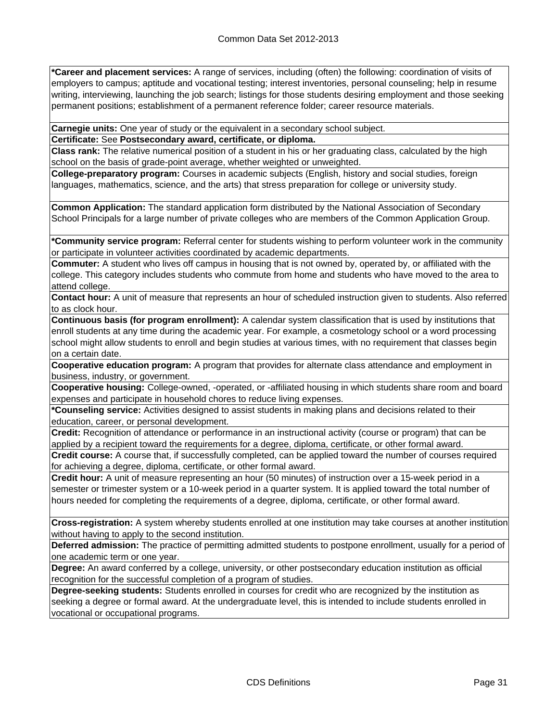**\*Career and placement services:** A range of services, including (often) the following: coordination of visits of employers to campus; aptitude and vocational testing; interest inventories, personal counseling; help in resume writing, interviewing, launching the job search; listings for those students desiring employment and those seeking permanent positions; establishment of a permanent reference folder; career resource materials.

**Carnegie units:** One year of study or the equivalent in a secondary school subject.

**Certificate:** See **Postsecondary award, certificate, or diploma.**

**Class rank:** The relative numerical position of a student in his or her graduating class, calculated by the high school on the basis of grade-point average, whether weighted or unweighted.

**College-preparatory program:** Courses in academic subjects (English, history and social studies, foreign languages, mathematics, science, and the arts) that stress preparation for college or university study.

**Common Application:** The standard application form distributed by the National Association of Secondary School Principals for a large number of private colleges who are members of the Common Application Group.

**\*Community service program:** Referral center for students wishing to perform volunteer work in the community or participate in volunteer activities coordinated by academic departments.

**Commuter:** A student who lives off campus in housing that is not owned by, operated by, or affiliated with the college. This category includes students who commute from home and students who have moved to the area to attend college.

**Contact hour:** A unit of measure that represents an hour of scheduled instruction given to students. Also referred to as clock hour.

**Continuous basis (for program enrollment):** A calendar system classification that is used by institutions that enroll students at any time during the academic year. For example, a cosmetology school or a word processing school might allow students to enroll and begin studies at various times, with no requirement that classes begin on a certain date.

**Cooperative education program:** A program that provides for alternate class attendance and employment in business, industry, or government.

**Cooperative housing:** College-owned, -operated, or -affiliated housing in which students share room and board expenses and participate in household chores to reduce living expenses.

**\*Counseling service:** Activities designed to assist students in making plans and decisions related to their education, career, or personal development.

**Credit:** Recognition of attendance or performance in an instructional activity (course or program) that can be applied by a recipient toward the requirements for a degree, diploma, certificate, or other formal award.

**Credit course:** A course that, if successfully completed, can be applied toward the number of courses required for achieving a degree, diploma, certificate, or other formal award.

**Credit hour:** A unit of measure representing an hour (50 minutes) of instruction over a 15-week period in a semester or trimester system or a 10-week period in a quarter system. It is applied toward the total number of hours needed for completing the requirements of a degree, diploma, certificate, or other formal award.

**Cross-registration:** A system whereby students enrolled at one institution may take courses at another institution without having to apply to the second institution.

**Deferred admission:** The practice of permitting admitted students to postpone enrollment, usually for a period of one academic term or one year.

**Degree:** An award conferred by a college, university, or other postsecondary education institution as official recognition for the successful completion of a program of studies.

**Degree-seeking students:** Students enrolled in courses for credit who are recognized by the institution as seeking a degree or formal award. At the undergraduate level, this is intended to include students enrolled in vocational or occupational programs.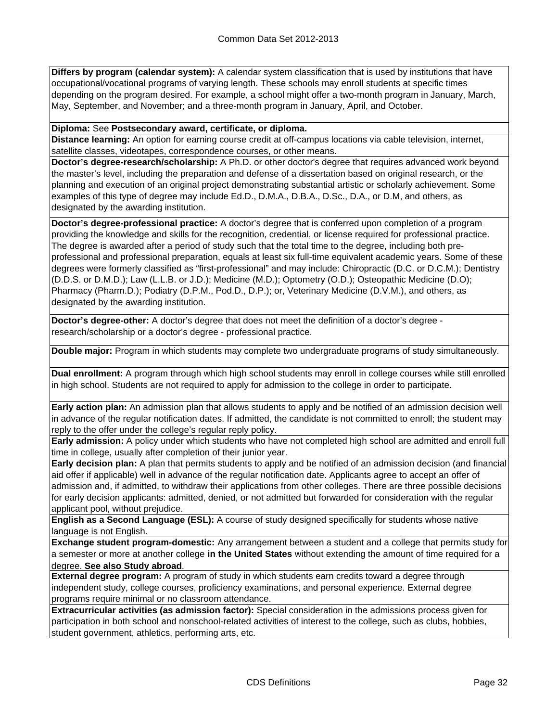**Differs by program (calendar system):** A calendar system classification that is used by institutions that have occupational/vocational programs of varying length. These schools may enroll students at specific times depending on the program desired. For example, a school might offer a two-month program in January, March, May, September, and November; and a three-month program in January, April, and October.

**Diploma:** See **Postsecondary award, certificate, or diploma.**

**Distance learning:** An option for earning course credit at off-campus locations via cable television, internet, satellite classes, videotapes, correspondence courses, or other means.

**Doctor's degree-research/scholarship:** A Ph.D. or other doctor's degree that requires advanced work beyond the master's level, including the preparation and defense of a dissertation based on original research, or the planning and execution of an original project demonstrating substantial artistic or scholarly achievement. Some examples of this type of degree may include Ed.D., D.M.A., D.B.A., D.Sc., D.A., or D.M, and others, as designated by the awarding institution.

**Doctor's degree-professional practice:** A doctor's degree that is conferred upon completion of a program providing the knowledge and skills for the recognition, credential, or license required for professional practice. The degree is awarded after a period of study such that the total time to the degree, including both preprofessional and professional preparation, equals at least six full-time equivalent academic years. Some of these degrees were formerly classified as "first-professional" and may include: Chiropractic (D.C. or D.C.M.); Dentistry (D.D.S. or D.M.D.); Law (L.L.B. or J.D.); Medicine (M.D.); Optometry (O.D.); Osteopathic Medicine (D.O); Pharmacy (Pharm.D.); Podiatry (D.P.M., Pod.D., D.P.); or, Veterinary Medicine (D.V.M.), and others, as designated by the awarding institution.

**Doctor's degree-other:** A doctor's degree that does not meet the definition of a doctor's degree research/scholarship or a doctor's degree - professional practice.

**Double major:** Program in which students may complete two undergraduate programs of study simultaneously.

**Dual enrollment:** A program through which high school students may enroll in college courses while still enrolled in high school. Students are not required to apply for admission to the college in order to participate.

**Early action plan:** An admission plan that allows students to apply and be notified of an admission decision well in advance of the regular notification dates. If admitted, the candidate is not committed to enroll; the student may reply to the offer under the college's regular reply policy.

**Early admission:** A policy under which students who have not completed high school are admitted and enroll full time in college, usually after completion of their junior year.

**Early decision plan:** A plan that permits students to apply and be notified of an admission decision (and financial aid offer if applicable) well in advance of the regular notification date. Applicants agree to accept an offer of admission and, if admitted, to withdraw their applications from other colleges. There are three possible decisions for early decision applicants: admitted, denied, or not admitted but forwarded for consideration with the regular applicant pool, without prejudice.

**English as a Second Language (ESL):** A course of study designed specifically for students whose native language is not English.

**Exchange student program-domestic:** Any arrangement between a student and a college that permits study for a semester or more at another college **in the United States** without extending the amount of time required for a degree. **See also Study abroad**.

**External degree program:** A program of study in which students earn credits toward a degree through independent study, college courses, proficiency examinations, and personal experience. External degree programs require minimal or no classroom attendance.

**Extracurricular activities (as admission factor):** Special consideration in the admissions process given for participation in both school and nonschool-related activities of interest to the college, such as clubs, hobbies, student government, athletics, performing arts, etc.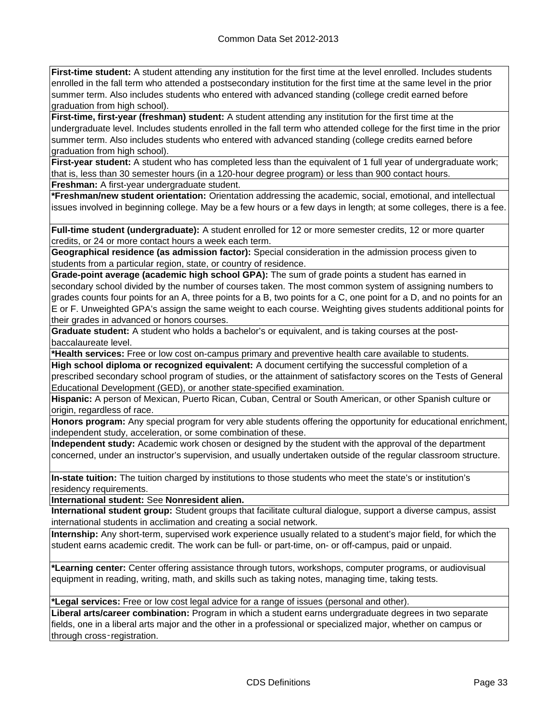**First-time student:** A student attending any institution for the first time at the level enrolled. Includes students enrolled in the fall term who attended a postsecondary institution for the first time at the same level in the prior summer term. Also includes students who entered with advanced standing (college credit earned before graduation from high school).

**First-time, first-year (freshman) student:** A student attending any institution for the first time at the undergraduate level. Includes students enrolled in the fall term who attended college for the first time in the prior summer term. Also includes students who entered with advanced standing (college credits earned before graduation from high school).

**First-year student:** A student who has completed less than the equivalent of 1 full year of undergraduate work; that is, less than 30 semester hours (in a 120-hour degree program) or less than 900 contact hours.

**Freshman:** A first-year undergraduate student.

**\*Freshman/new student orientation:** Orientation addressing the academic, social, emotional, and intellectual issues involved in beginning college. May be a few hours or a few days in length; at some colleges, there is a fee.

**Full-time student (undergraduate):** A student enrolled for 12 or more semester credits, 12 or more quarter credits, or 24 or more contact hours a week each term.

**Geographical residence (as admission factor):** Special consideration in the admission process given to students from a particular region, state, or country of residence.

**Grade-point average (academic high school GPA):** The sum of grade points a student has earned in secondary school divided by the number of courses taken. The most common system of assigning numbers to grades counts four points for an A, three points for a B, two points for a C, one point for a D, and no points for an E or F. Unweighted GPA's assign the same weight to each course. Weighting gives students additional points for their grades in advanced or honors courses.

**Graduate student:** A student who holds a bachelor's or equivalent, and is taking courses at the postbaccalaureate level.

**\*Health services:** Free or low cost on-campus primary and preventive health care available to students.

**High school diploma or recognized equivalent:** A document certifying the successful completion of a prescribed secondary school program of studies, or the attainment of satisfactory scores on the Tests of General Educational Development (GED), or another state-specified examination.

**Hispanic:** A person of Mexican, Puerto Rican, Cuban, Central or South American, or other Spanish culture or origin, regardless of race.

**Honors program:** Any special program for very able students offering the opportunity for educational enrichment, independent study, acceleration, or some combination of these.

**Independent study:** Academic work chosen or designed by the student with the approval of the department concerned, under an instructor's supervision, and usually undertaken outside of the regular classroom structure.

**In-state tuition:** The tuition charged by institutions to those students who meet the state's or institution's residency requirements.

**International student:** See **Nonresident alien.**

**International student group:** Student groups that facilitate cultural dialogue, support a diverse campus, assist international students in acclimation and creating a social network.

**Internship:** Any short-term, supervised work experience usually related to a student's major field, for which the student earns academic credit. The work can be full- or part-time, on- or off-campus, paid or unpaid.

**\*Learning center:** Center offering assistance through tutors, workshops, computer programs, or audiovisual equipment in reading, writing, math, and skills such as taking notes, managing time, taking tests.

**\*Legal services:** Free or low cost legal advice for a range of issues (personal and other).

**Liberal arts/career combination:** Program in which a student earns undergraduate degrees in two separate fields, one in a liberal arts major and the other in a professional or specialized major, whether on campus or through cross‑registration.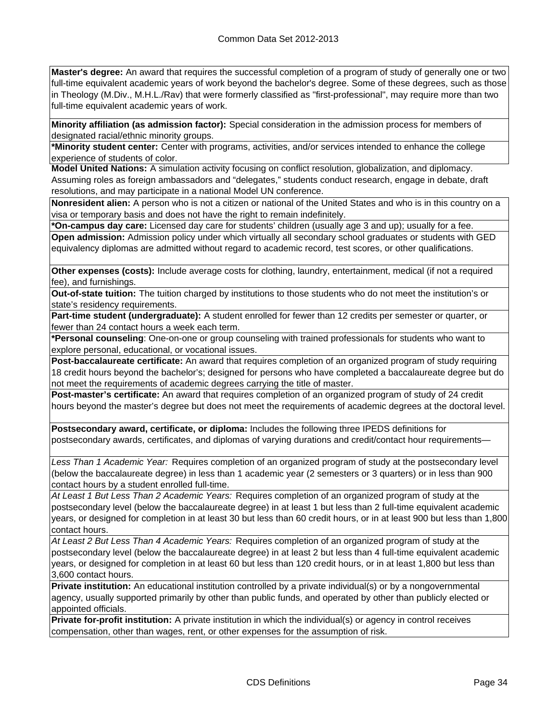**Master's degree:** An award that requires the successful completion of a program of study of generally one or two full-time equivalent academic years of work beyond the bachelor's degree. Some of these degrees, such as those in Theology (M.Div., M.H.L./Rav) that were formerly classified as "first-professional", may require more than two full-time equivalent academic years of work.

**Minority affiliation (as admission factor):** Special consideration in the admission process for members of designated racial/ethnic minority groups.

**\*Minority student center:** Center with programs, activities, and/or services intended to enhance the college experience of students of color.

**Model United Nations:** A simulation activity focusing on conflict resolution, globalization, and diplomacy. Assuming roles as foreign ambassadors and "delegates," students conduct research, engage in debate, draft resolutions, and may participate in a national Model UN conference.

**Nonresident alien:** A person who is not a citizen or national of the United States and who is in this country on a visa or temporary basis and does not have the right to remain indefinitely.

**\*On-campus day care:** Licensed day care for students' children (usually age 3 and up); usually for a fee. **Open admission:** Admission policy under which virtually all secondary school graduates or students with GED equivalency diplomas are admitted without regard to academic record, test scores, or other qualifications.

**Other expenses (costs):** Include average costs for clothing, laundry, entertainment, medical (if not a required fee), and furnishings.

**Out-of-state tuition:** The tuition charged by institutions to those students who do not meet the institution's or state's residency requirements.

**Part-time student (undergraduate):** A student enrolled for fewer than 12 credits per semester or quarter, or fewer than 24 contact hours a week each term.

**\*Personal counseling**: One-on-one or group counseling with trained professionals for students who want to explore personal, educational, or vocational issues.

**Post-baccalaureate certificate:** An award that requires completion of an organized program of study requiring 18 credit hours beyond the bachelor's; designed for persons who have completed a baccalaureate degree but do not meet the requirements of academic degrees carrying the title of master.

**Post-master's certificate:** An award that requires completion of an organized program of study of 24 credit hours beyond the master's degree but does not meet the requirements of academic degrees at the doctoral level.

**Postsecondary award, certificate, or diploma:** Includes the following three IPEDS definitions for postsecondary awards, certificates, and diplomas of varying durations and credit/contact hour requirements—

*Less Than 1 Academic Year:* Requires completion of an organized program of study at the postsecondary level (below the baccalaureate degree) in less than 1 academic year (2 semesters or 3 quarters) or in less than 900 contact hours by a student enrolled full-time.

*At Least 1 But Less Than 2 Academic Years:* Requires completion of an organized program of study at the postsecondary level (below the baccalaureate degree) in at least 1 but less than 2 full-time equivalent academic years, or designed for completion in at least 30 but less than 60 credit hours, or in at least 900 but less than 1,800 contact hours.

*At Least 2 But Less Than 4 Academic Years:* Requires completion of an organized program of study at the postsecondary level (below the baccalaureate degree) in at least 2 but less than 4 full-time equivalent academic years, or designed for completion in at least 60 but less than 120 credit hours, or in at least 1,800 but less than 3,600 contact hours.

**Private institution:** An educational institution controlled by a private individual(s) or by a nongovernmental agency, usually supported primarily by other than public funds, and operated by other than publicly elected or appointed officials.

**Private for-profit institution:** A private institution in which the individual(s) or agency in control receives compensation, other than wages, rent, or other expenses for the assumption of risk.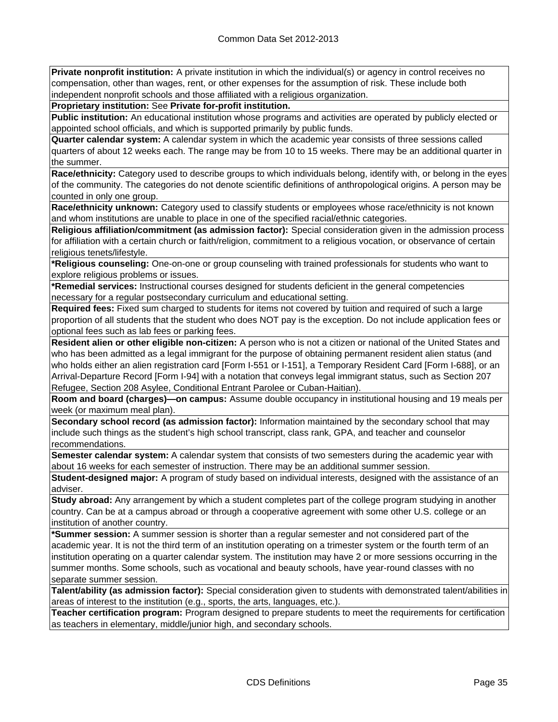**Private nonprofit institution:** A private institution in which the individual(s) or agency in control receives no compensation, other than wages, rent, or other expenses for the assumption of risk. These include both independent nonprofit schools and those affiliated with a religious organization.

**Proprietary institution:** See **Private for-profit institution.**

**Public institution:** An educational institution whose programs and activities are operated by publicly elected or appointed school officials, and which is supported primarily by public funds.

**Quarter calendar system:** A calendar system in which the academic year consists of three sessions called quarters of about 12 weeks each. The range may be from 10 to 15 weeks. There may be an additional quarter in the summer.

**Race/ethnicity:** Category used to describe groups to which individuals belong, identify with, or belong in the eyes of the community. The categories do not denote scientific definitions of anthropological origins. A person may be counted in only one group.

**Race/ethnicity unknown:** Category used to classify students or employees whose race/ethnicity is not known and whom institutions are unable to place in one of the specified racial/ethnic categories.

**Religious affiliation/commitment (as admission factor):** Special consideration given in the admission process for affiliation with a certain church or faith/religion, commitment to a religious vocation, or observance of certain religious tenets/lifestyle.

**\*Religious counseling:** One-on-one or group counseling with trained professionals for students who want to explore religious problems or issues.

**\*Remedial services:** Instructional courses designed for students deficient in the general competencies necessary for a regular postsecondary curriculum and educational setting.

**Required fees:** Fixed sum charged to students for items not covered by tuition and required of such a large proportion of all students that the student who does NOT pay is the exception. Do not include application fees or optional fees such as lab fees or parking fees.

**Resident alien or other eligible non-citizen:** A person who is not a citizen or national of the United States and who has been admitted as a legal immigrant for the purpose of obtaining permanent resident alien status (and who holds either an alien registration card [Form I-551 or I-151], a Temporary Resident Card [Form I-688], or an Arrival-Departure Record [Form I-94] with a notation that conveys legal immigrant status, such as Section 207 Refugee, Section 208 Asylee, Conditional Entrant Parolee or Cuban-Haitian).

**Room and board (charges)—on campus:** Assume double occupancy in institutional housing and 19 meals per week (or maximum meal plan).

**Secondary school record (as admission factor):** Information maintained by the secondary school that may include such things as the student's high school transcript, class rank, GPA, and teacher and counselor recommendations.

**Semester calendar system:** A calendar system that consists of two semesters during the academic year with about 16 weeks for each semester of instruction. There may be an additional summer session.

**Student-designed major:** A program of study based on individual interests, designed with the assistance of an adviser.

**Study abroad:** Any arrangement by which a student completes part of the college program studying in another country. Can be at a campus abroad or through a cooperative agreement with some other U.S. college or an institution of another country.

**\*Summer session:** A summer session is shorter than a regular semester and not considered part of the academic year. It is not the third term of an institution operating on a trimester system or the fourth term of an institution operating on a quarter calendar system. The institution may have 2 or more sessions occurring in the summer months. Some schools, such as vocational and beauty schools, have year-round classes with no separate summer session.

**Talent/ability (as admission factor):** Special consideration given to students with demonstrated talent/abilities in areas of interest to the institution (e.g., sports, the arts, languages, etc.).

**Teacher certification program:** Program designed to prepare students to meet the requirements for certification as teachers in elementary, middle/junior high, and secondary schools.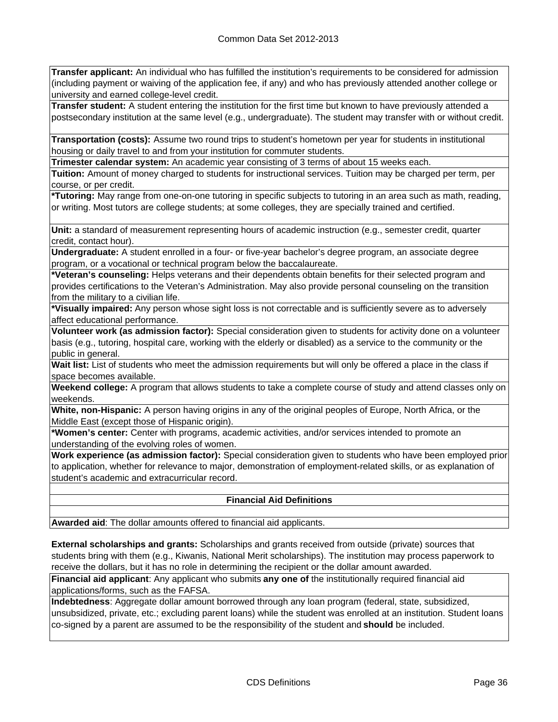**Transfer applicant:** An individual who has fulfilled the institution's requirements to be considered for admission (including payment or waiving of the application fee, if any) and who has previously attended another college or university and earned college-level credit.

**Transfer student:** A student entering the institution for the first time but known to have previously attended a postsecondary institution at the same level (e.g., undergraduate). The student may transfer with or without credit.

**Transportation (costs):** Assume two round trips to student's hometown per year for students in institutional housing or daily travel to and from your institution for commuter students.

**Trimester calendar system:** An academic year consisting of 3 terms of about 15 weeks each.

**Tuition:** Amount of money charged to students for instructional services. Tuition may be charged per term, per course, or per credit.

**\*Tutoring:** May range from one-on-one tutoring in specific subjects to tutoring in an area such as math, reading, or writing. Most tutors are college students; at some colleges, they are specially trained and certified.

**Unit:** a standard of measurement representing hours of academic instruction (e.g., semester credit, quarter credit, contact hour).

**Undergraduate:** A student enrolled in a four- or five-year bachelor's degree program, an associate degree program, or a vocational or technical program below the baccalaureate.

**\*Veteran's counseling:** Helps veterans and their dependents obtain benefits for their selected program and provides certifications to the Veteran's Administration. May also provide personal counseling on the transition from the military to a civilian life.

**\*Visually impaired:** Any person whose sight loss is not correctable and is sufficiently severe as to adversely affect educational performance.

**Volunteer work (as admission factor):** Special consideration given to students for activity done on a volunteer basis (e.g., tutoring, hospital care, working with the elderly or disabled) as a service to the community or the public in general.

**Wait list:** List of students who meet the admission requirements but will only be offered a place in the class if space becomes available.

**Weekend college:** A program that allows students to take a complete course of study and attend classes only on weekends.

**White, non-Hispanic:** A person having origins in any of the original peoples of Europe, North Africa, or the Middle East (except those of Hispanic origin).

**\*Women's center:** Center with programs, academic activities, and/or services intended to promote an understanding of the evolving roles of women.

**Work experience (as admission factor):** Special consideration given to students who have been employed prior to application, whether for relevance to major, demonstration of employment-related skills, or as explanation of student's academic and extracurricular record.

### **Financial Aid Definitions**

**Awarded aid**: The dollar amounts offered to financial aid applicants.

**External scholarships and grants:** Scholarships and grants received from outside (private) sources that students bring with them (e.g., Kiwanis, National Merit scholarships). The institution may process paperwork to receive the dollars, but it has no role in determining the recipient or the dollar amount awarded.

**Financial aid applicant**: Any applicant who submits **any one of** the institutionally required financial aid applications/forms, such as the FAFSA.

**Indebtedness**: Aggregate dollar amount borrowed through any loan program (federal, state, subsidized, unsubsidized, private, etc.; excluding parent loans) while the student was enrolled at an institution. Student loans co-signed by a parent are assumed to be the responsibility of the student and **should** be included.